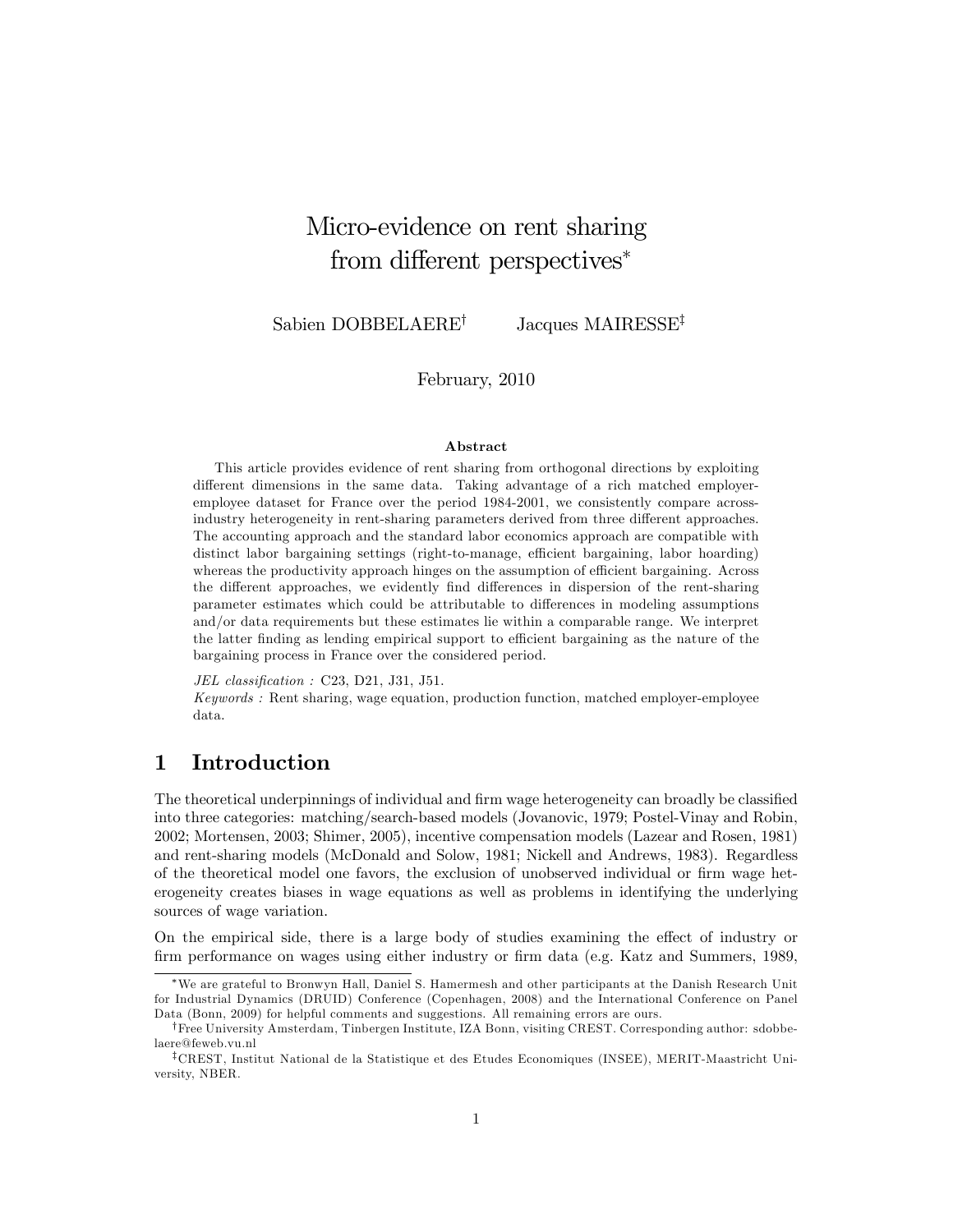# Micro-evidence on rent sharing from different perspectives<sup>\*</sup>

Sabien DOBBELAERE<sup>†</sup> Jacques MAIRESSE<sup>‡</sup>

February, 2010

#### Abstract

This article provides evidence of rent sharing from orthogonal directions by exploiting different dimensions in the same data. Taking advantage of a rich matched employeremployee dataset for France over the period 1984-2001, we consistently compare acrossindustry heterogeneity in rent-sharing parameters derived from three different approaches. The accounting approach and the standard labor economics approach are compatible with distinct labor bargaining settings (right-to-manage, efficient bargaining, labor hoarding) whereas the productivity approach hinges on the assumption of efficient bargaining. Across the different approaches, we evidently find differences in dispersion of the rent-sharing parameter estimates which could be attributable to differences in modeling assumptions and/or data requirements but these estimates lie within a comparable range. We interpret the latter finding as lending empirical support to efficient bargaining as the nature of the bargaining process in France over the considered period.

 $JEL$  classification : C23, D21, J31, J51.

Keywords : Rent sharing, wage equation, production function, matched employer-employee data.

## 1 Introduction

The theoretical underpinnings of individual and firm wage heterogeneity can broadly be classified into three categories: matching/search-based models (Jovanovic, 1979; Postel-Vinay and Robin, 2002; Mortensen, 2003; Shimer, 2005), incentive compensation models (Lazear and Rosen, 1981) and rent-sharing models (McDonald and Solow, 1981; Nickell and Andrews, 1983). Regardless of the theoretical model one favors, the exclusion of unobserved individual or Örm wage heterogeneity creates biases in wage equations as well as problems in identifying the underlying sources of wage variation.

On the empirical side, there is a large body of studies examining the effect of industry or firm performance on wages using either industry or firm data (e.g. Katz and Summers, 1989,

We are grateful to Bronwyn Hall, Daniel S. Hamermesh and other participants at the Danish Research Unit for Industrial Dynamics (DRUID) Conference (Copenhagen, 2008) and the International Conference on Panel Data (Bonn, 2009) for helpful comments and suggestions. All remaining errors are ours.

<sup>&</sup>lt;sup>†</sup>Free University Amsterdam, Tinbergen Institute, IZA Bonn, visiting CREST. Corresponding author: sdobbelaere@feweb.vu.nl

<sup>&</sup>lt;sup>‡</sup>CREST, Institut National de la Statistique et des Etudes Economiques (INSEE), MERIT-Maastricht University, NBER.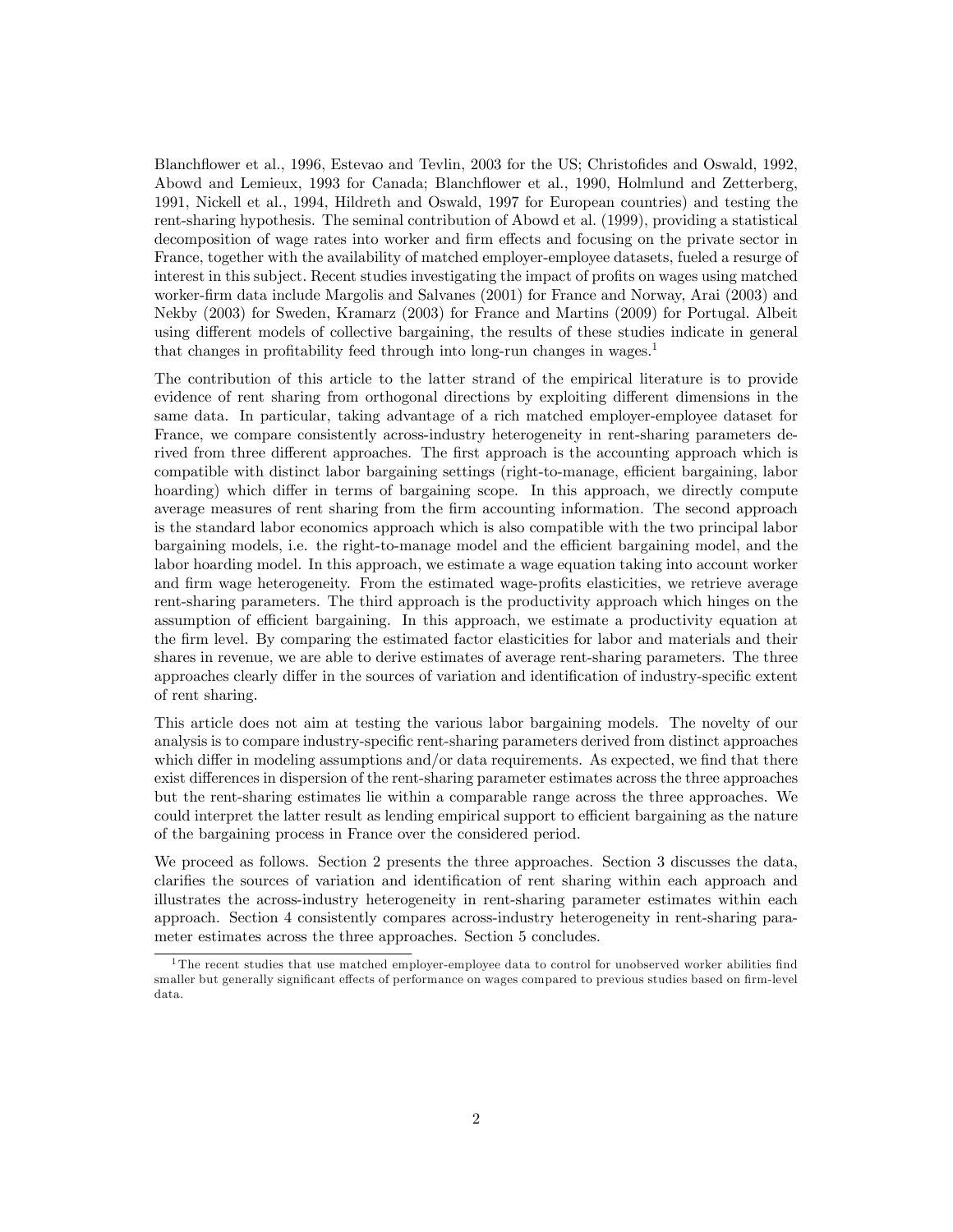Blanchflower et al., 1996, Estevao and Tevlin, 2003 for the US; Christofides and Oswald, 1992, Abowd and Lemieux, 1993 for Canada; Blanchflower et al., 1990, Holmlund and Zetterberg, 1991, Nickell et al., 1994, Hildreth and Oswald, 1997 for European countries) and testing the rent-sharing hypothesis. The seminal contribution of Abowd et al. (1999), providing a statistical decomposition of wage rates into worker and firm effects and focusing on the private sector in France, together with the availability of matched employer-employee datasets, fueled a resurge of interest in this subject. Recent studies investigating the impact of profits on wages using matched worker-Örm data include Margolis and Salvanes (2001) for France and Norway, Arai (2003) and Nekby (2003) for Sweden, Kramarz (2003) for France and Martins (2009) for Portugal. Albeit using different models of collective bargaining, the results of these studies indicate in general that changes in profitability feed through into long-run changes in wages.<sup>1</sup>

The contribution of this article to the latter strand of the empirical literature is to provide evidence of rent sharing from orthogonal directions by exploiting different dimensions in the same data. In particular, taking advantage of a rich matched employer-employee dataset for France, we compare consistently across-industry heterogeneity in rent-sharing parameters derived from three different approaches. The first approach is the accounting approach which is compatible with distinct labor bargaining settings (right-to-manage, efficient bargaining, labor hoarding) which differ in terms of bargaining scope. In this approach, we directly compute average measures of rent sharing from the Örm accounting information. The second approach is the standard labor economics approach which is also compatible with the two principal labor bargaining models, i.e. the right-to-manage model and the efficient bargaining model, and the labor hoarding model. In this approach, we estimate a wage equation taking into account worker and firm wage heterogeneity. From the estimated wage-profits elasticities, we retrieve average rent-sharing parameters. The third approach is the productivity approach which hinges on the assumption of efficient bargaining. In this approach, we estimate a productivity equation at the Örm level. By comparing the estimated factor elasticities for labor and materials and their shares in revenue, we are able to derive estimates of average rent-sharing parameters. The three approaches clearly differ in the sources of variation and identification of industry-specific extent of rent sharing.

This article does not aim at testing the various labor bargaining models. The novelty of our analysis is to compare industry-specific rent-sharing parameters derived from distinct approaches which differ in modeling assumptions and/or data requirements. As expected, we find that there exist differences in dispersion of the rent-sharing parameter estimates across the three approaches but the rent-sharing estimates lie within a comparable range across the three approaches. We could interpret the latter result as lending empirical support to efficient bargaining as the nature of the bargaining process in France over the considered period.

We proceed as follows. Section 2 presents the three approaches. Section 3 discusses the data, clarifies the sources of variation and identification of rent sharing within each approach and illustrates the across-industry heterogeneity in rent-sharing parameter estimates within each approach. Section 4 consistently compares across-industry heterogeneity in rent-sharing parameter estimates across the three approaches. Section 5 concludes.

 $1$ The recent studies that use matched employer-employee data to control for unobserved worker abilities find smaller but generally significant effects of performance on wages compared to previous studies based on firm-level data.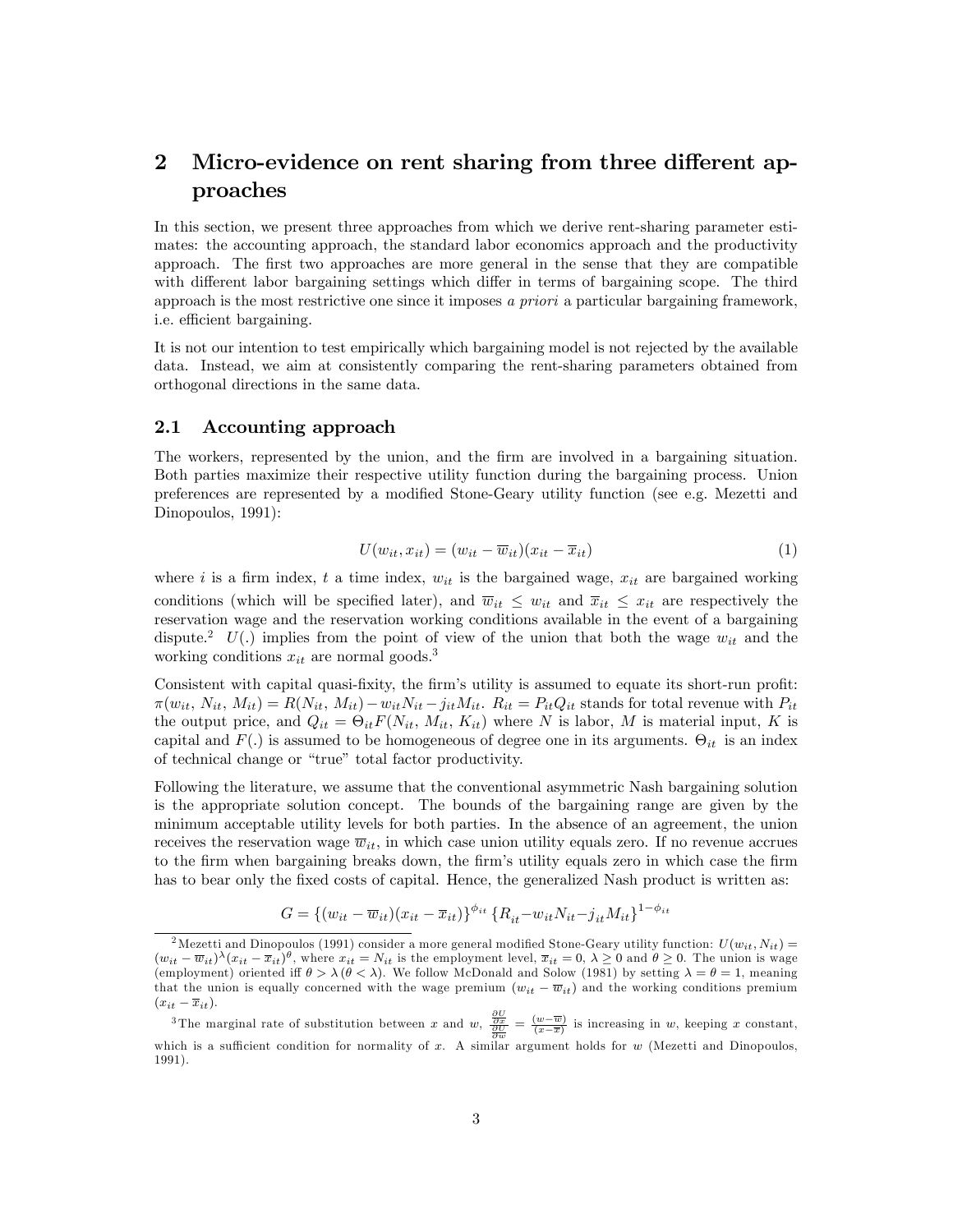## 2 Micro-evidence on rent sharing from three different approaches

In this section, we present three approaches from which we derive rent-sharing parameter estimates: the accounting approach, the standard labor economics approach and the productivity approach. The first two approaches are more general in the sense that they are compatible with different labor bargaining settings which differ in terms of bargaining scope. The third approach is the most restrictive one since it imposes a priori a particular bargaining framework, i.e. efficient bargaining.

It is not our intention to test empirically which bargaining model is not rejected by the available data. Instead, we aim at consistently comparing the rent-sharing parameters obtained from orthogonal directions in the same data.

#### 2.1 Accounting approach

The workers, represented by the union, and the firm are involved in a bargaining situation. Both parties maximize their respective utility function during the bargaining process. Union preferences are represented by a modified Stone-Geary utility function (see e.g. Mezetti and Dinopoulos, 1991):

$$
U(w_{it}, x_{it}) = (w_{it} - \overline{w}_{it})(x_{it} - \overline{x}_{it})
$$
\n(1)

where i is a firm index, t a time index,  $w_{it}$  is the bargained wage,  $x_{it}$  are bargained working conditions (which will be specified later), and  $\overline{w}_{it} \leq w_{it}$  and  $\overline{x}_{it} \leq x_{it}$  are respectively the reservation wage and the reservation working conditions available in the event of a bargaining dispute.<sup>2</sup> U(.) implies from the point of view of the union that both the wage  $w_{it}$  and the working conditions  $x_{it}$  are normal goods.<sup>3</sup>

Consistent with capital quasi-fixity, the firm's utility is assumed to equate its short-run profit:  $\pi(w_{it}, N_{it}, M_{it}) = R(N_{it}, M_{it}) - w_{it}N_{it} - j_{it}M_{it}.$   $R_{it} = P_{it}Q_{it}$  stands for total revenue with  $P_{it}$ the output price, and  $Q_{it} = \Theta_{it} F(N_{it}, M_{it}, K_{it})$  where N is labor, M is material input, K is capital and  $F(.)$  is assumed to be homogeneous of degree one in its arguments.  $\Theta_{it}$  is an index of technical change or "true" total factor productivity.

Following the literature, we assume that the conventional asymmetric Nash bargaining solution is the appropriate solution concept. The bounds of the bargaining range are given by the minimum acceptable utility levels for both parties. In the absence of an agreement, the union receives the reservation wage  $\overline{w}_{it}$ , in which case union utility equals zero. If no revenue accrues to the firm when bargaining breaks down, the firm's utility equals zero in which case the firm has to bear only the fixed costs of capital. Hence, the generalized Nash product is written as:

$$
G = \{(w_{it} - \overline{w}_{it})(x_{it} - \overline{x}_{it})\}^{\phi_{it}} \{R_{it} - w_{it}N_{it} - j_{it}M_{it}\}^{1 - \phi_{it}}
$$

<sup>&</sup>lt;sup>2</sup>Mezetti and Dinopoulos (1991) consider a more general modified Stone-Geary utility function:  $U(w_{it}, N_{it}) =$  $(w_{it} - \overline{w}_{it})^{\lambda}(x_{it} - \overline{x}_{it})^{\theta}$ , where  $x_{it} = N_{it}$  is the employment level,  $\overline{x}_{it} = 0$ ,  $\lambda \ge 0$  and  $\theta \ge 0$ . The union is wage (employment) oriented iff  $\theta > \lambda (\theta < \lambda)$ . We follow McDonald and Solow (1981) by setting  $\lambda = \theta = 1$ , meaning that the union is equally concerned with the wage premium  $(w_{it} - \overline{w}_{it})$  and the working conditions premium  $(x_{it} - \overline{x}_{it}).$ 

<sup>&</sup>lt;sup>3</sup>The marginal rate of substitution between x and  $w$ ,  $\frac{\frac{\partial U}{\partial x}}{\frac{\partial U}{\partial w}} = \frac{(w - \overline{w})}{(x - \overline{x})}$  is increasing in w, keeping x constant, which is a sufficient condition for normality of x. A similar argument holds for  $w$  (Mezetti and Dinopoulos, 1991).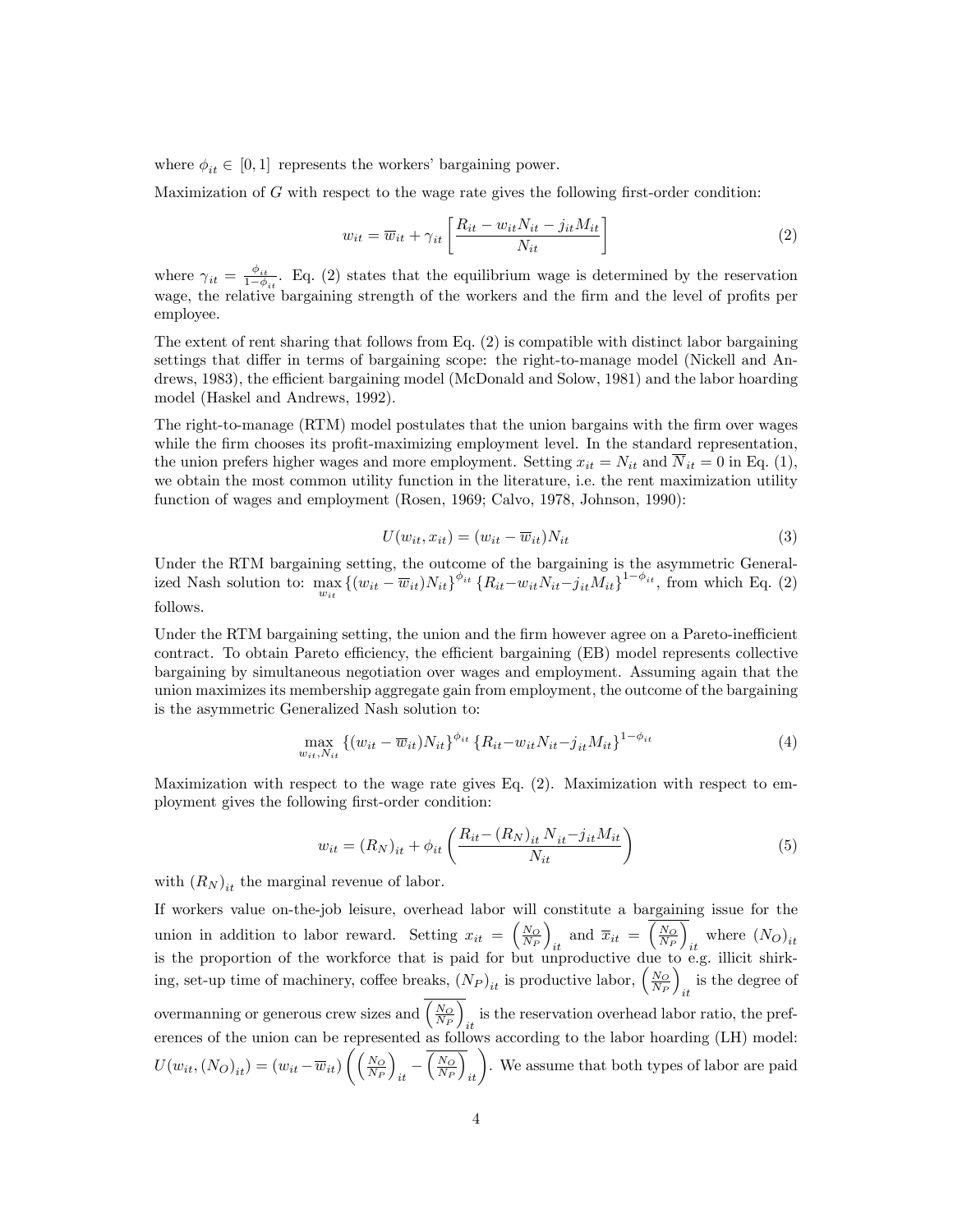where  $\phi_{it} \in [0, 1]$  represents the workers' bargaining power.

Maximization of  $G$  with respect to the wage rate gives the following first-order condition:

$$
w_{it} = \overline{w}_{it} + \gamma_{it} \left[ \frac{R_{it} - w_{it} N_{it} - j_{it} M_{it}}{N_{it}} \right]
$$
 (2)

where  $\gamma_{it} = \frac{\phi_{it}}{1-\phi}$  $\frac{\varphi_{it}}{1-\phi_{it}}$ . Eq. (2) states that the equilibrium wage is determined by the reservation wage, the relative bargaining strength of the workers and the firm and the level of profits per employee.

The extent of rent sharing that follows from Eq. (2) is compatible with distinct labor bargaining settings that differ in terms of bargaining scope: the right-to-manage model (Nickell and Andrews, 1983), the efficient bargaining model (McDonald and Solow, 1981) and the labor hoarding model (Haskel and Andrews, 1992).

The right-to-manage (RTM) model postulates that the union bargains with the firm over wages while the firm chooses its profit-maximizing employment level. In the standard representation, the union prefers higher wages and more employment. Setting  $x_{it} = N_{it}$  and  $\overline{N}_{it} = 0$  in Eq. (1), we obtain the most common utility function in the literature, i.e. the rent maximization utility function of wages and employment (Rosen, 1969; Calvo, 1978, Johnson, 1990):

$$
U(w_{it}, x_{it}) = (w_{it} - \overline{w}_{it})N_{it}
$$
\n(3)

Under the RTM bargaining setting, the outcome of the bargaining is the asymmetric Generalized Nash solution to:  $\max_{w_{it}} \left\{ (w_{it} - \overline{w}_{it}) N_{it} \right\}^{\phi_{it}} \left\{ R_{it} - w_{it} N_{it} - j_{it} M_{it} \right\}^{1-\phi_{it}}$ , from which Eq. (2) follows.

Under the RTM bargaining setting, the union and the firm however agree on a Pareto-inefficient contract. To obtain Pareto efficiency, the efficient bargaining (EB) model represents collective bargaining by simultaneous negotiation over wages and employment. Assuming again that the union maximizes its membership aggregate gain from employment, the outcome of the bargaining is the asymmetric Generalized Nash solution to:

$$
\max_{w_{it}, N_{it}} \left\{ (w_{it} - \overline{w}_{it}) N_{it} \right\}^{\phi_{it}} \left\{ R_{it} - w_{it} N_{it} - j_{it} M_{it} \right\}^{1 - \phi_{it}} \tag{4}
$$

Maximization with respect to the wage rate gives Eq. (2). Maximization with respect to employment gives the following first-order condition:

$$
w_{it} = (R_N)_{it} + \phi_{it} \left( \frac{R_{it} - (R_N)_{it} N_{it} - j_{it} M_{it}}{N_{it}} \right)
$$
(5)

with  $(R_N)_{it}$  the marginal revenue of labor.

If workers value on-the-job leisure, overhead labor will constitute a bargaining issue for the union in addition to labor reward. Setting  $x_{it} = \left(\frac{N_O}{N_P}\right)$  $\overline{ }$ and  $\overline{x}_{it} = \sqrt{\frac{N_O}{N_P}}$  $\overline{\setminus}$ where  $(N_O)_{it}$ is the proportion of the workforce that is paid for but unproductive due to e.g. illicit shirking, set-up time of machinery, coffee breaks,  $(N_P)_{it}$  is productive labor,  $\left(\frac{N_O}{N_P}\right)_{it}$  $\overline{ }$ is the degree of  $it$ overmanning or generous crew sizes and  $\sqrt{\frac{N_Q}{N_P}}$  $\overline{\setminus}$ is the reservation overhead labor ratio, the preferences of the union can be represented as follows according to the labor hoarding (LH) model:  $U(w_{it}, (N_O)_{it}) = (w_{it} - \overline{w}_{it})$  $\left(\left(\frac{N_O}{N_P}\right)$  $\overline{ }$  $\frac{1}{it}$  $\sqrt{\frac{N_O}{N_P}}$  $\overline{\big)}_{it}$ . We assume that both types of labor are paid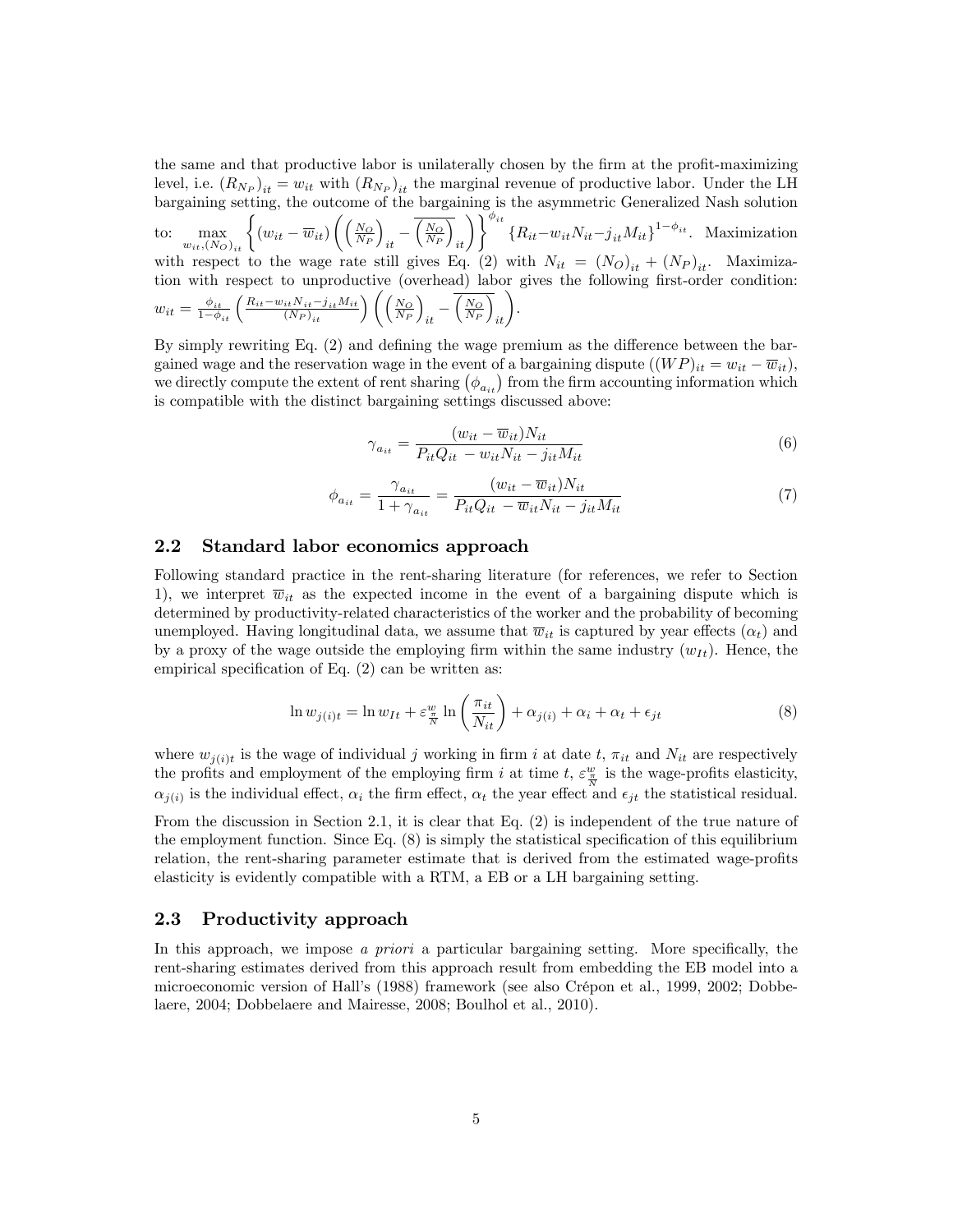the same and that productive labor is unilaterally chosen by the firm at the profit-maximizing level, i.e.  $(R_{N_P})_{it} = w_{it}$  with  $(R_{N_P})_{it}$  the marginal revenue of productive labor. Under the LH bargaining setting, the outcome of the bargaining is the asymmetric Generalized Nash solution

to:  $\max_{w_{it}, (N_O)_{it}} \left\{ (w_{it} - \overline{w}_{it}) \right\}$  $\Big(\Big(\frac{N_O}{N_P}$  $\overline{ }$  $\frac{1}{it}$  $\sqrt{\frac{N_O}{N_P}}$  $\left\{\overline{R}_{it} - w_{it}N_{it} - j_{it}M_{it}\right\}^{1-\phi_{it}}$ . Maximization with respect to the wage rate still gives Eq. (2) with  $N_{it} = (N_O)_{it} + (N_P)_{it}$ . Maximization with respect to unproductive (overhead) labor gives the following first-order condition:  $w_{it} = \frac{\phi_{it}}{1-\phi_{it}} \left( \frac{R_{it} - w_{it} N_{it} - j_{it} M_{it}}{(N_P)_{it}} \right) \left( \left( \frac{N_O}{N_P} \right) \right)$  $\overline{ }$  $\frac{1}{it}$  $\sqrt{\frac{N_O}{N_P}}$  $\overline{a}_{it}$ .

By simply rewriting Eq.  $(2)$  and defining the wage premium as the difference between the bargained wage and the reservation wage in the event of a bargaining dispute  $((WP)_{it} = w_{it} - \overline{w}_{it}),$ we directly compute the extent of rent sharing  $(\phi_{a_{it}})$  from the firm accounting information which is compatible with the distinct bargaining settings discussed above:

$$
\gamma_{a_{it}} = \frac{(w_{it} - \overline{w}_{it})N_{it}}{P_{it}Q_{it} - w_{it}N_{it} - j_{it}M_{it}}\tag{6}
$$

$$
\phi_{a_{it}} = \frac{\gamma_{a_{it}}}{1 + \gamma_{a_{it}}} = \frac{(w_{it} - \overline{w}_{it})N_{it}}{P_{it}Q_{it} - \overline{w}_{it}N_{it} - j_{it}M_{it}} \tag{7}
$$

#### 2.2 Standard labor economics approach

Following standard practice in the rent-sharing literature (for references, we refer to Section 1), we interpret  $\overline{w}_{it}$  as the expected income in the event of a bargaining dispute which is determined by productivity-related characteristics of the worker and the probability of becoming unemployed. Having longitudinal data, we assume that  $\overline{w}_{it}$  is captured by year effects  $(\alpha_t)$  and by a proxy of the wage outside the employing firm within the same industry  $(w_{It})$ . Hence, the empirical specification of Eq.  $(2)$  can be written as:

$$
\ln w_{j(i)t} = \ln w_{It} + \varepsilon \frac{w}{N} \ln \left( \frac{\pi_{it}}{N_{it}} \right) + \alpha_{j(i)} + \alpha_i + \alpha_t + \epsilon_{jt}
$$
\n(8)

where  $w_{j(i)t}$  is the wage of individual j working in firm i at date t,  $\pi_{it}$  and  $N_{it}$  are respectively the profits and employment of the employing firm i at time  $t$ ,  $\varepsilon \frac{w}{\overline{N}}$  is the wage-profits elasticity,  $\alpha_{j(i)}$  is the individual effect,  $\alpha_i$  the firm effect,  $\alpha_t$  the year effect and  $\epsilon_{jt}$  the statistical residual.

From the discussion in Section 2.1, it is clear that Eq. (2) is independent of the true nature of the employment function. Since Eq.  $(8)$  is simply the statistical specification of this equilibrium relation, the rent-sharing parameter estimate that is derived from the estimated wage-profits elasticity is evidently compatible with a RTM, a EB or a LH bargaining setting.

#### 2.3 Productivity approach

In this approach, we impose a priori a particular bargaining setting. More specifically, the rent-sharing estimates derived from this approach result from embedding the EB model into a microeconomic version of Hall's (1988) framework (see also Crépon et al., 1999, 2002; Dobbelaere, 2004; Dobbelaere and Mairesse, 2008; Boulhol et al., 2010).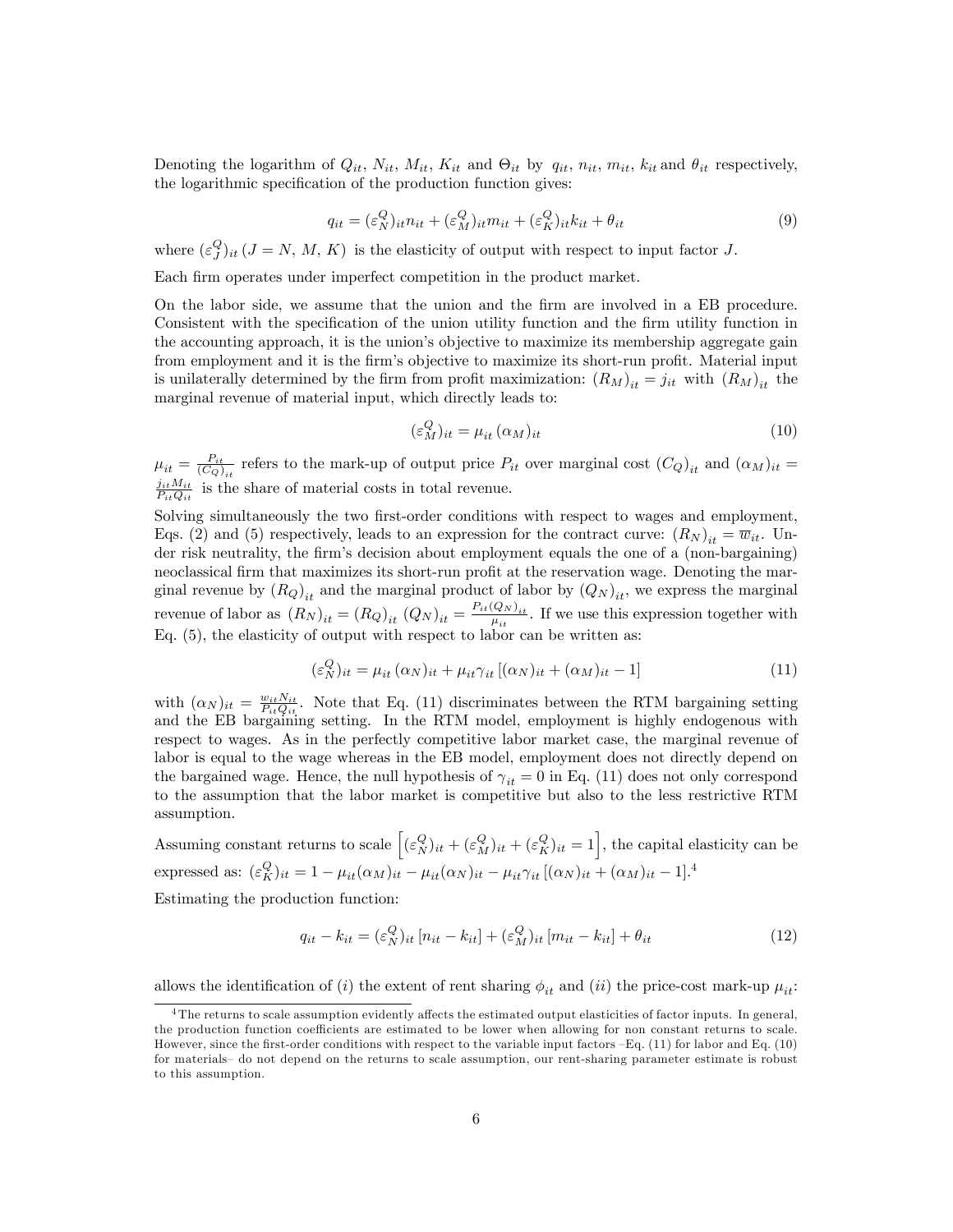Denoting the logarithm of  $Q_{it}$ ,  $N_{it}$ ,  $M_{it}$ ,  $K_{it}$  and  $\Theta_{it}$  by  $q_{it}$ ,  $n_{it}$ ,  $m_{it}$ ,  $k_{it}$  and  $\theta_{it}$  respectively, the logarithmic specification of the production function gives:

$$
q_{it} = (\varepsilon_N^Q)_{it} n_{it} + (\varepsilon_N^Q)_{it} m_{it} + (\varepsilon_N^Q)_{it} k_{it} + \theta_{it}
$$
\n
$$
\tag{9}
$$

where  $(\varepsilon_j^Q)_{it}$   $(J = N, M, K)$  is the elasticity of output with respect to input factor J.

Each firm operates under imperfect competition in the product market.

On the labor side, we assume that the union and the Örm are involved in a EB procedure. Consistent with the specification of the union utility function and the firm utility function in the accounting approach, it is the union's objective to maximize its membership aggregate gain from employment and it is the firm's objective to maximize its short-run profit. Material input is unilaterally determined by the firm from profit maximization:  $(R_M)_{it} = j_{it}$  with  $(R_M)_{it}$  the marginal revenue of material input, which directly leads to:

$$
(\varepsilon_M^Q)_{it} = \mu_{it} \, (\alpha_M)_{it} \tag{10}
$$

 $\mu_{it} = \frac{P_{it}}{(C_Q)_{it}}$  refers to the mark-up of output price  $P_{it}$  over marginal cost  $(C_Q)_{it}$  and  $(\alpha_M)_{it}$  $\frac{j_{it}M_{it}}{P_{it}Q_{it}}$  is the share of material costs in total revenue.

Solving simultaneously the two first-order conditions with respect to wages and employment, Eqs. (2) and (5) respectively, leads to an expression for the contract curve:  $(R_N)_{it} = \overline{w}_{it}$ . Under risk neutrality, the firm's decision about employment equals the one of a (non-bargaining) neoclassical firm that maximizes its short-run profit at the reservation wage. Denoting the marginal revenue by  $(R_Q)_{it}$  and the marginal product of labor by  $(Q_N)_{it}$ , we express the marginal revenue of labor as  $(R_N)_{it} = (R_Q)_{it} (Q_N)_{it} = \frac{P_{it}(Q_N)_{it}}{\mu_{it}}$  $\frac{Q_{N}}{\mu_{it}}$ . If we use this expression together with Eq. (5), the elasticity of output with respect to labor can be written as:

$$
(\varepsilon_N^Q)_{it} = \mu_{it} (\alpha_N)_{it} + \mu_{it} \gamma_{it} [(\alpha_N)_{it} + (\alpha_M)_{it} - 1]
$$
\n(11)

with  $(\alpha_N)_{it} = \frac{w_{it} N_{it}}{P_{it} Q_{it}}$ . Note that Eq. (11) discriminates between the RTM bargaining setting and the EB bargaining setting. In the RTM model, employment is highly endogenous with respect to wages. As in the perfectly competitive labor market case, the marginal revenue of labor is equal to the wage whereas in the EB model, employment does not directly depend on the bargained wage. Hence, the null hypothesis of  $\gamma_{it} = 0$  in Eq. (11) does not only correspond to the assumption that the labor market is competitive but also to the less restrictive RTM assumption.

Assuming constant returns to scale  $\left[ (\varepsilon_N^Q)_{it} + (\varepsilon_N^Q)_{it} + (\varepsilon_N^Q)_{it} = 1 \right]$ , the capital elasticity can be expressed as:  $(\varepsilon_K^Q)_{it} = 1 - \mu_{it}(\alpha_M)_{it} - \mu_{it}(\alpha_N)_{it} - \mu_{it}\gamma_{it}[(\alpha_N)_{it} + (\alpha_M)_{it} - 1]$ .<sup>4</sup>

Estimating the production function:

$$
q_{it} - k_{it} = (\varepsilon_N^Q)_{it} [n_{it} - k_{it}] + (\varepsilon_N^Q)_{it} [m_{it} - k_{it}] + \theta_{it}
$$
\n(12)

allows the identification of (i) the extent of rent sharing  $\phi_{it}$  and (ii) the price-cost mark-up  $\mu_{it}$ :

<sup>&</sup>lt;sup>4</sup>The returns to scale assumption evidently affects the estimated output elasticities of factor inputs. In general, the production function coefficients are estimated to be lower when allowing for non constant returns to scale. However, since the first-order conditions with respect to the variable input factors  $-Eq$ . (11) for labor and Eq. (10) for materials- do not depend on the returns to scale assumption, our rent-sharing parameter estimate is robust to this assumption.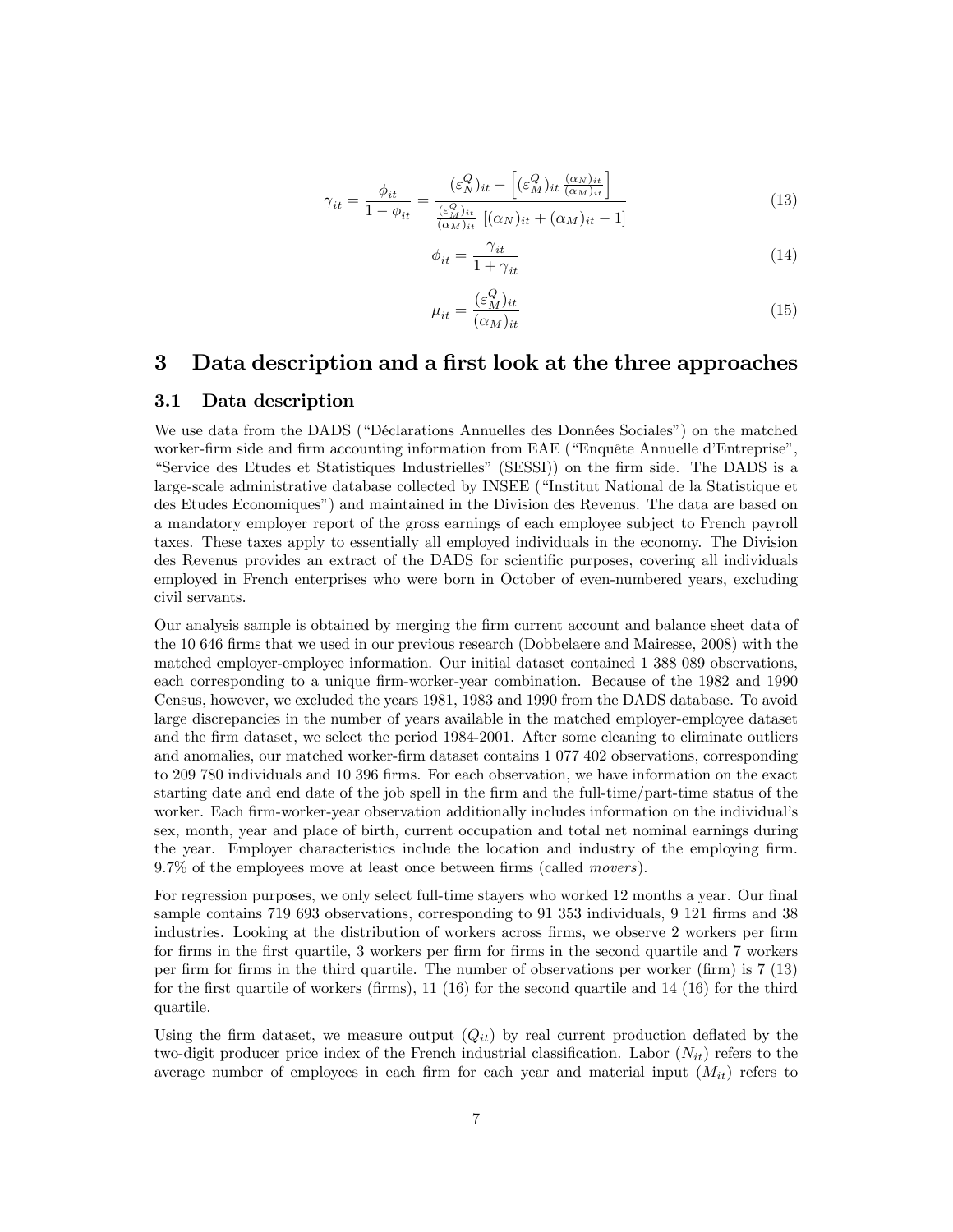$$
\gamma_{it} = \frac{\phi_{it}}{1 - \phi_{it}} = \frac{(\varepsilon_N^Q)_{it} - \left[ (\varepsilon_M^Q)_{it} \frac{(\alpha_N)_{it}}{(\alpha_M)_{it}} \right]}{\frac{(\varepsilon_M^Q)_{it}}{(\alpha_M)_{it}} \left[ (\alpha_N)_{it} + (\alpha_M)_{it} - 1 \right]}
$$
(13)

$$
\phi_{it} = \frac{\gamma_{it}}{1 + \gamma_{it}}\tag{14}
$$

$$
\mu_{it} = \frac{(\varepsilon_M^Q)_{it}}{(\alpha_M)_{it}}\tag{15}
$$

## 3 Data description and a first look at the three approaches

#### 3.1 Data description

We use data from the DADS ("Déclarations Annuelles des Données Sociales") on the matched worker-firm side and firm accounting information from EAE ("Enquête Annuelle d'Entreprise", ìService des Etudes et Statistiques Industriellesî (SESSI)) on the Örm side. The DADS is a large-scale administrative database collected by INSEE ("Institut National de la Statistique et des Etudes Economiquesî) and maintained in the Division des Revenus. The data are based on a mandatory employer report of the gross earnings of each employee subject to French payroll taxes. These taxes apply to essentially all employed individuals in the economy. The Division des Revenus provides an extract of the DADS for scientific purposes, covering all individuals employed in French enterprises who were born in October of even-numbered years, excluding civil servants.

Our analysis sample is obtained by merging the Örm current account and balance sheet data of the 10 646 firms that we used in our previous research (Dobbelaere and Mairesse, 2008) with the matched employer-employee information. Our initial dataset contained 1 388 089 observations, each corresponding to a unique firm-worker-year combination. Because of the 1982 and 1990 Census, however, we excluded the years 1981, 1983 and 1990 from the DADS database. To avoid large discrepancies in the number of years available in the matched employer-employee dataset and the firm dataset, we select the period 1984-2001. After some cleaning to eliminate outliers and anomalies, our matched worker-Örm dataset contains 1 077 402 observations, corresponding to 209 780 individuals and 10 396 Örms. For each observation, we have information on the exact starting date and end date of the job spell in the firm and the full-time/part-time status of the worker. Each firm-worker-year observation additionally includes information on the individual's sex, month, year and place of birth, current occupation and total net nominal earnings during the year. Employer characteristics include the location and industry of the employing firm.  $9.7\%$  of the employees move at least once between firms (called *movers*).

For regression purposes, we only select full-time stayers who worked 12 months a year. Our final sample contains 719 693 observations, corresponding to 91 353 individuals, 9 121 firms and 38 industries. Looking at the distribution of workers across firms, we observe 2 workers per firm for firms in the first quartile, 3 workers per firm for firms in the second quartile and 7 workers per Örm for Örms in the third quartile. The number of observations per worker (Örm) is 7 (13) for the first quartile of workers (firms),  $11 \ (16)$  for the second quartile and  $14 \ (16)$  for the third quartile.

Using the firm dataset, we measure output  $(Q_{it})$  by real current production deflated by the two-digit producer price index of the French industrial classification. Labor  $(N_{it})$  refers to the average number of employees in each firm for each year and material input  $(M_{it})$  refers to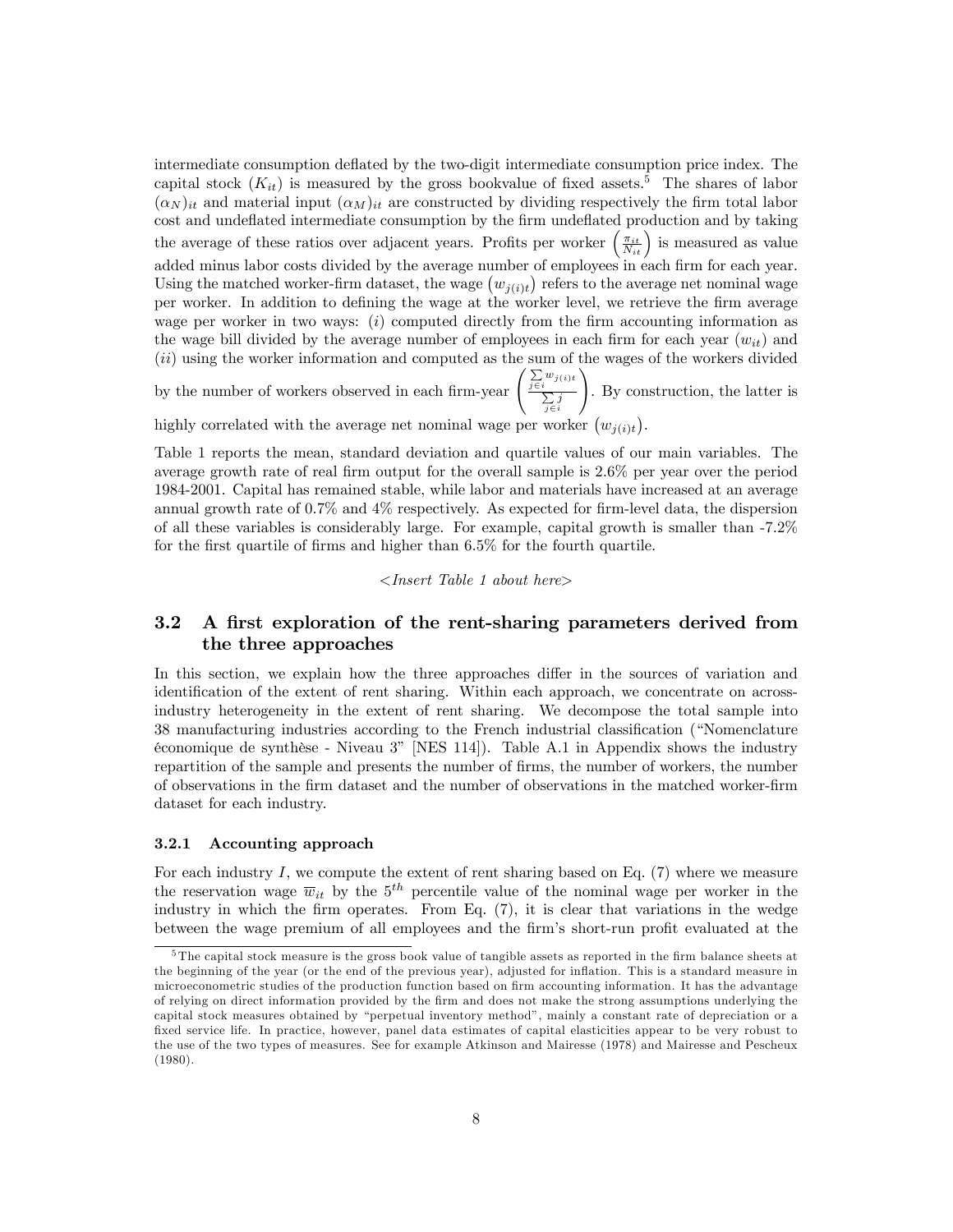intermediate consumption deflated by the two-digit intermediate consumption price index. The capital stock  $(K_{it})$  is measured by the gross bookvalue of fixed assets.<sup>5</sup> The shares of labor  $(\alpha_N)_{it}$  and material input  $(\alpha_M)_{it}$  are constructed by dividing respectively the firm total labor cost and undeflated intermediate consumption by the firm undeflated production and by taking the average of these ratios over adjacent years. Profits per worker  $\left(\frac{\pi_{it}}{N_{it}}\right)$  is measured as value added minus labor costs divided by the average number of employees in each firm for each year. Using the matched worker-firm dataset, the wage  $(w_{j(i)t})$  refers to the average net nominal wage per worker. In addition to defining the wage at the worker level, we retrieve the firm average wage per worker in two ways:  $(i)$  computed directly from the firm accounting information as the wage bill divided by the average number of employees in each firm for each year  $(w_{it})$  and  $(ii)$  using the worker information and computed as the sum of the wages of the workers divided

by the number of workers observed in each firm-year  $\left(\frac{\sum w_{j(i)}}{\sum z_i}\right)$  $\sum_{j \in i} j$ ! . By construction, the latter is

highly correlated with the average net nominal wage per worker  $(w_{j(i)t})$ .

Table 1 reports the mean, standard deviation and quartile values of our main variables. The average growth rate of real firm output for the overall sample is 2.6% per year over the period 1984-2001. Capital has remained stable, while labor and materials have increased at an average annual growth rate of  $0.7\%$  and  $4\%$  respectively. As expected for firm-level data, the dispersion of all these variables is considerably large. For example, capital growth is smaller than -7.2% for the first quartile of firms and higher than  $6.5\%$  for the fourth quartile.

#### <Insert Table 1 about here>

## 3.2 A first exploration of the rent-sharing parameters derived from the three approaches

In this section, we explain how the three approaches differ in the sources of variation and identification of the extent of rent sharing. Within each approach, we concentrate on acrossindustry heterogeneity in the extent of rent sharing. We decompose the total sample into 38 manufacturing industries according to the French industrial classification ("Nomenclature  $\acute{e}$ conomique de synthèse - Niveau 3" [NES 114]). Table A.1 in Appendix shows the industry repartition of the sample and presents the number of firms, the number of workers, the number of observations in the Örm dataset and the number of observations in the matched worker-Örm dataset for each industry.

#### 3.2.1 Accounting approach

For each industry  $I$ , we compute the extent of rent sharing based on Eq.  $(7)$  where we measure the reservation wage  $\overline{w}_{it}$  by the  $5^{th}$  percentile value of the nominal wage per worker in the industry in which the firm operates. From Eq.  $(7)$ , it is clear that variations in the wedge between the wage premium of all employees and the firm's short-run profit evaluated at the

 $5$ The capital stock measure is the gross book value of tangible assets as reported in the firm balance sheets at the beginning of the year (or the end of the previous year), adjusted for inflation. This is a standard measure in microeconometric studies of the production function based on firm accounting information. It has the advantage of relying on direct information provided by the Örm and does not make the strong assumptions underlying the capital stock measures obtained by "perpetual inventory method", mainly a constant rate of depreciation or a fixed service life. In practice, however, panel data estimates of capital elasticities appear to be very robust to the use of the two types of measures. See for example Atkinson and Mairesse (1978) and Mairesse and Pescheux (1980).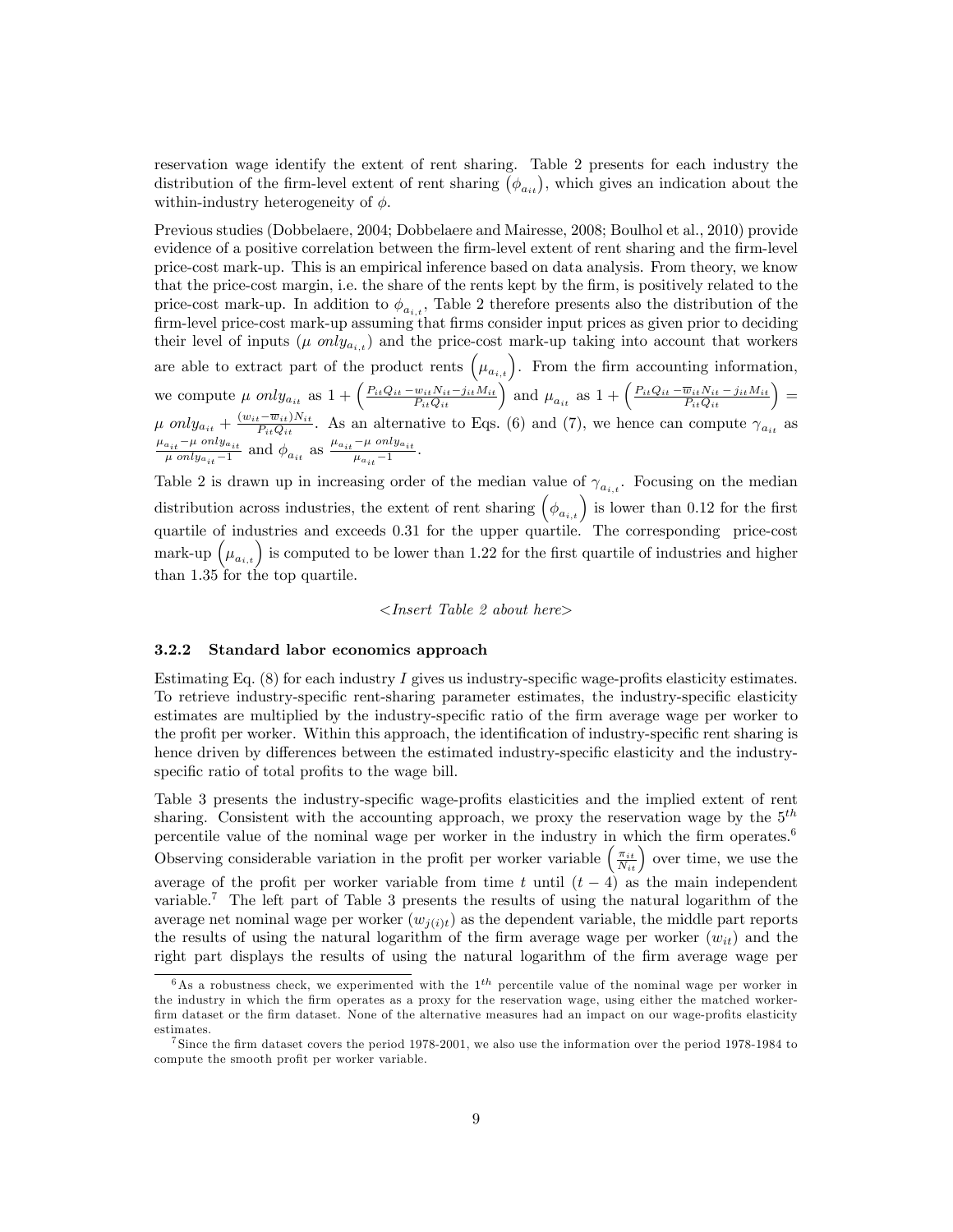reservation wage identify the extent of rent sharing. Table 2 presents for each industry the distribution of the firm-level extent of rent sharing  $(\phi_{a_{it}})$ , which gives an indication about the within-industry heterogeneity of  $\phi$ .

Previous studies (Dobbelaere, 2004; Dobbelaere and Mairesse, 2008; Boulhol et al., 2010) provide evidence of a positive correlation between the firm-level extent of rent sharing and the firm-level price-cost mark-up. This is an empirical inference based on data analysis. From theory, we know that the price-cost margin, i.e. the share of the rents kept by the firm, is positively related to the price-cost mark-up. In addition to  $\phi_{a_{i,t}}$ , Table 2 therefore presents also the distribution of the firm-level price-cost mark-up assuming that firms consider input prices as given prior to deciding their level of inputs ( $\mu$  only<sub>ait</sub>) and the price-cost mark-up taking into account that workers are able to extract part of the product rents  $(\mu_{a_{i,t}})$ . From the firm accounting information, we compute  $\mu$  only<sub>ait</sub> as  $1 + \left(\frac{P_{it}Q_{it} - w_{it}N_{it} - j_{it}M_{it}}{P_{it}Q_{it}}\right)$  and  $\mu_{a_{it}}$  as  $1 + \left(\frac{P_{it}Q_{it} - \overline{w}_{it}N_{it} - j_{it}M_{it}}{P_{it}Q_{it}}\right) =$  $\mu$  only<sub>a<sub>it</sub></sub> +  $\frac{(w_{it}-\overline{w}_{it})N_{it}}{P_{it}Q_{it}}$ . As an alternative to Eqs. (6) and (7), we hence can compute  $\gamma_{a_{it}}$  as  $\mu_{a_{it}}$ - $\mu$  only<sub>ait</sub>  $\frac{a_{it} - \mu \text{ only } a_{it}}{\mu \text{ only } a_{it} - 1}$  and  $\phi_{a_{it}}$  as  $\frac{\mu_{a_{it}} - \mu \text{ only } a_{it}}{\mu_{a_{it}} - 1}$  $\frac{\mu \text{ only } a_{it}}{\mu_{a_{it}}-1}$ .

Table 2 is drawn up in increasing order of the median value of  $\gamma_{a_{i,t}}$ . Focusing on the median distribution across industries, the extent of rent sharing  $(\phi_{a_{i,t}})$  is lower than 0.12 for the first quartile of industries and exceeds 0.31 for the upper quartile. The corresponding price-cost mark-up  $(\mu_{a_{i,t}})$  is computed to be lower than 1.22 for the first quartile of industries and higher than 1.35 for the top quartile.

#### <Insert Table 2 about here>

#### 3.2.2 Standard labor economics approach

Estimating Eq.  $(8)$  for each industry I gives us industry-specific wage-profits elasticity estimates. To retrieve industry-specific rent-sharing parameter estimates, the industry-specific elasticity estimates are multiplied by the industry-specific ratio of the firm average wage per worker to the profit per worker. Within this approach, the identification of industry-specific rent sharing is hence driven by differences between the estimated industry-specific elasticity and the industryspecific ratio of total profits to the wage bill.

Table 3 presents the industry-specific wage-profits elasticities and the implied extent of rent sharing. Consistent with the accounting approach, we proxy the reservation wage by the  $5<sup>th</sup>$ percentile value of the nominal wage per worker in the industry in which the firm operates.<sup>6</sup> Observing considerable variation in the profit per worker variable  $\left(\frac{\pi_{it}}{N_{it}}\right)$  over time, we use the average of the profit per worker variable from time t until  $(t - 4)$  as the main independent variable.<sup>7</sup> The left part of Table 3 presents the results of using the natural logarithm of the average net nominal wage per worker  $(w_{j(i)t})$  as the dependent variable, the middle part reports the results of using the natural logarithm of the firm average wage per worker  $(w_{it})$  and the right part displays the results of using the natural logarithm of the firm average wage per

 $6$ As a robustness check, we experimented with the  $1^{th}$  percentile value of the nominal wage per worker in the industry in which the firm operates as a proxy for the reservation wage, using either the matched workerfirm dataset or the firm dataset. None of the alternative measures had an impact on our wage-profits elasticity estimates.

<sup>&</sup>lt;sup>7</sup> Since the firm dataset covers the period 1978-2001, we also use the information over the period 1978-1984 to compute the smooth profit per worker variable.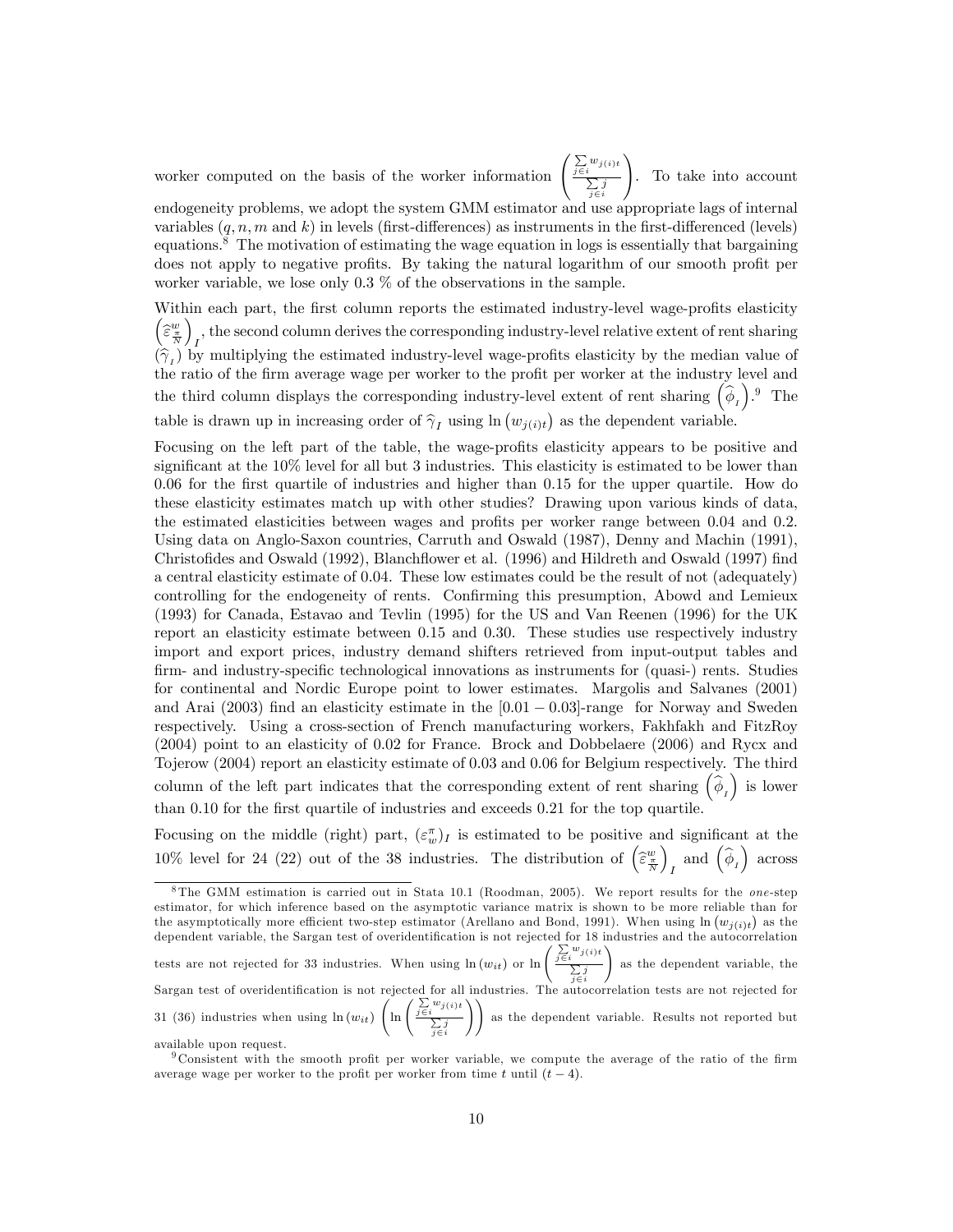worker computed on the basis of the worker information

. To take into account

 $j \in i$ endogeneity problems, we adopt the system GMM estimator and use appropriate lags of internal variables  $(q, n, m \text{ and } k)$  in levels (first-differences) as instruments in the first-differenced (levels) equations.<sup>8</sup> The motivation of estimating the wage equation in logs is essentially that bargaining does not apply to negative profits. By taking the natural logarithm of our smooth profit per worker variable, we lose only 0.3 % of the observations in the sample.

 $j\in i$  $w_{j(i)t}$  $\sum j$ 

!

Within each part, the first column reports the estimated industry-level wage-profits elasticity  $\bigg(\widehat{\varepsilon}^w_{\frac{\pi}{N}}$ ), the second column derives the corresponding industry-level relative extent of rent sharing  $(\hat{\gamma}_I)$  by multiplying the estimated industry-level wage-profits elasticity by the median value of the ratio of the firm average wage per worker to the profit per worker at the industry level and the third column displays the corresponding industry-level extent of rent sharing  $(\hat{\phi}_I)$ . The table is drawn up in increasing order of  $\hat{\gamma}_I$  using  $\ln(w_{j(i)t})$  as the dependent variable.

Focusing on the left part of the table, the wage-profits elasticity appears to be positive and significant at the  $10\%$  level for all but 3 industries. This elasticity is estimated to be lower than  $0.06$  for the first quartile of industries and higher than  $0.15$  for the upper quartile. How do these elasticity estimates match up with other studies? Drawing upon various kinds of data, the estimated elasticities between wages and profits per worker range between  $0.04$  and  $0.2$ . Using data on Anglo-Saxon countries, Carruth and Oswald (1987), Denny and Machin (1991), Christofides and Oswald (1992), Blanchflower et al. (1996) and Hildreth and Oswald (1997) find a central elasticity estimate of 0.04. These low estimates could be the result of not (adequately) controlling for the endogeneity of rents. Confirming this presumption, Abowd and Lemieux (1993) for Canada, Estavao and Tevlin (1995) for the US and Van Reenen (1996) for the UK report an elasticity estimate between 0.15 and 0.30. These studies use respectively industry import and export prices, industry demand shifters retrieved from input-output tables and firm- and industry-specific technological innovations as instruments for (quasi-) rents. Studies for continental and Nordic Europe point to lower estimates. Margolis and Salvanes (2001) and Arai (2003) find an elasticity estimate in the  $[0.01 - 0.03]$ -range for Norway and Sweden respectively. Using a cross-section of French manufacturing workers, Fakhfakh and FitzRoy (2004) point to an elasticity of 0.02 for France. Brock and Dobbelaere (2006) and Rycx and Tojerow (2004) report an elasticity estimate of 0.03 and 0.06 for Belgium respectively. The third column of the left part indicates that the corresponding extent of rent sharing  $(\hat{\phi}_I)$  is lower than 0.10 for the first quartile of industries and exceeds 0.21 for the top quartile.

Focusing on the middle (right) part,  $(\varepsilon_w^{\pi})_I$  is estimated to be positive and significant at the 10% level for 24 (22) out of the 38 industries. The distribution of  $\left(\widehat{\epsilon}_{\frac{\pi}{N}}\right)$  $\overline{ }$ and  $(\widehat{\phi}_I)$  across

<sup>&</sup>lt;sup>8</sup>The GMM estimation is carried out in Stata 10.1 (Roodman, 2005). We report results for the *one*-step estimator, for which inference based on the asymptotic variance matrix is shown to be more reliable than for the asymptotically more efficient two-step estimator (Arellano and Bond, 1991). When using  $\ln(w_{j(i)t})$  as the dependent variable, the Sargan test of overidentification is not rejected for 18 industries and the autocorrelation tests are not rejected for 33 industries. When using  $\ln(w_{it})$  or  $\ln\left(\frac{\sum\limits_{j\in i} w_{j(i)t}}{\sum\limits_{j\in i} w_{j(i)}}\right)$  $\sum_{j \in i} j$ ! as the dependent variable, the Sargan test of overidentification is not rejected for all industries. The autocorrelation tests are not rejected for 31 (36) industries when using  $\ln(w_{it})$  $\left(\ln\left(\frac{\sum\limits_{j\in i}w_j(i)t}{\sum\limits_{i=1}^{i}w_j(i)}\right)\right)$  $\sum_{j \in i} j$ !! as the dependent variable. Results not reported but available upon request.

 $9$  Consistent with the smooth profit per worker variable, we compute the average of the ratio of the firm average wage per worker to the profit per worker from time t until  $(t - 4)$ .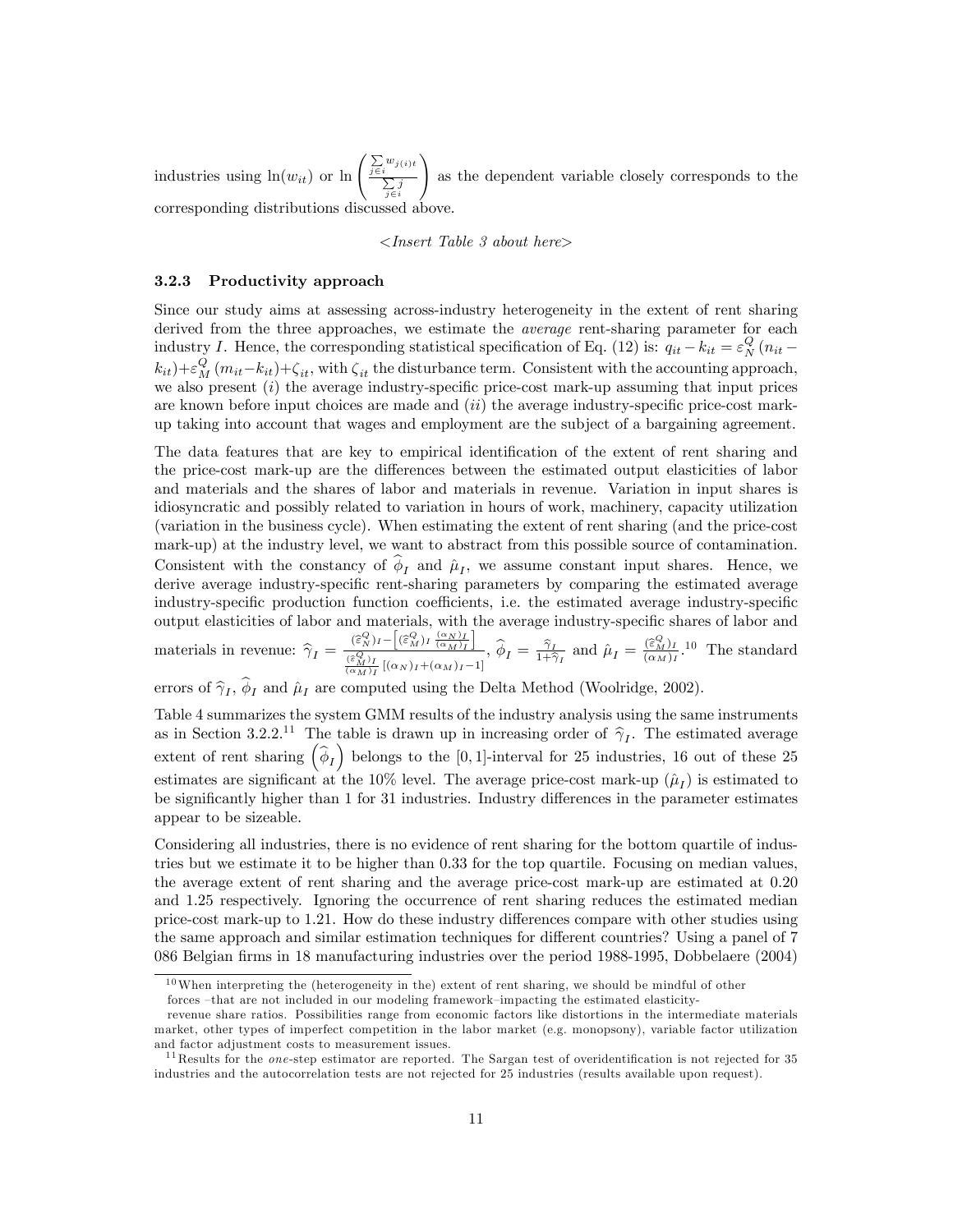industries using  $ln(w_{it})$  or  $ln\left(\frac{\sum w_{j(i)t}}{\sum i}\right)$  $\sum_{j \in i} j$ ! as the dependent variable closely corresponds to the corresponding distributions discussed above.

<Insert Table 3 about here>

#### 3.2.3 Productivity approach

Since our study aims at assessing across-industry heterogeneity in the extent of rent sharing derived from the three approaches, we estimate the *average* rent-sharing parameter for each industry I. Hence, the corresponding statistical specification of Eq. (12) is:  $q_{it} - k_{it} = \varepsilon_N^Q (n_{it} - k_{it})$  $(k_{it})+\varepsilon_M^Q(m_{it}-k_{it})+\zeta_{it}$ , with  $\zeta_{it}$  the disturbance term. Consistent with the accounting approach, we also present  $(i)$  the average industry-specific price-cost mark-up assuming that input prices are known before input choices are made and  $(ii)$  the average industry-specific price-cost markup taking into account that wages and employment are the subject of a bargaining agreement.

The data features that are key to empirical identification of the extent of rent sharing and the price-cost mark-up are the differences between the estimated output elasticities of labor and materials and the shares of labor and materials in revenue. Variation in input shares is idiosyncratic and possibly related to variation in hours of work, machinery, capacity utilization (variation in the business cycle). When estimating the extent of rent sharing (and the price-cost mark-up) at the industry level, we want to abstract from this possible source of contamination. Consistent with the constancy of  $\phi_I$  and  $\hat{\mu}_I$ , we assume constant input shares. Hence, we derive average industry-specific rent-sharing parameters by comparing the estimated average industry-specific production function coefficients, i.e. the estimated average industry-specific output elasticities of labor and materials, with the average industry-specific shares of labor and materials in revenue:  $\hat{\gamma}_I = \frac{(\hat{\epsilon}_N^Q)_I - [(\hat{\epsilon}_M^Q)_I (\alpha_M)_I]}{(\hat{\epsilon}_{M}^Q)_I [\alpha_M]_I + [\alpha_M]_I - [\alpha_M]_I}$  $\frac{(\varepsilon_N^Q)I - [(\varepsilon_M^M)I(\overline{\alpha_M})_I^{\perp}]}{(\varepsilon_M^Q)I}$ ,  $\widehat{\phi}_I = \frac{\widehat{\gamma}_I}{1+\widehat{\gamma}}$  $\frac{\widehat{\gamma}_I}{1+\widehat{\gamma}_I}$  and  $\widehat{\mu}_I = \frac{(\widehat{\varepsilon}_{M}^Q)_I}{(\alpha_M)_I}$ .<sup>10</sup> The standard

errors of  $\hat{\gamma}_I$ ,  $\phi_I$  and  $\hat{\mu}_I$  are computed using the Delta Method (Woolridge, 2002).

Table 4 summarizes the system GMM results of the industry analysis using the same instruments as in Section 3.2.2.<sup>11</sup> The table is drawn up in increasing order of  $\hat{\gamma}_I$ . The estimated average extent of rent sharing  $(\hat{\phi}_I)$  belongs to the [0,1]-interval for 25 industries, 16 out of these 25 estimates are significant at the 10% level. The average price-cost mark-up  $(\hat{\mu}_I)$  is estimated to be significantly higher than 1 for 31 industries. Industry differences in the parameter estimates appear to be sizeable.

Considering all industries, there is no evidence of rent sharing for the bottom quartile of industries but we estimate it to be higher than 0.33 for the top quartile. Focusing on median values, the average extent of rent sharing and the average price-cost mark-up are estimated at 0.20 and 1.25 respectively. Ignoring the occurrence of rent sharing reduces the estimated median price-cost mark-up to 1.21. How do these industry differences compare with other studies using the same approach and similar estimation techniques for different countries? Using a panel of 7 086 Belgian Örms in 18 manufacturing industries over the period 1988-1995, Dobbelaere (2004)

 $10$ When interpreting the (heterogeneity in the) extent of rent sharing, we should be mindful of other forces -that are not included in our modeling framework-impacting the estimated elasticity-

revenue share ratios. Possibilities range from economic factors like distortions in the intermediate materials market, other types of imperfect competition in the labor market (e.g. monopsony), variable factor utilization and factor adjustment costs to measurement issues.

 $11$ Results for the *one*-step estimator are reported. The Sargan test of overidentification is not rejected for 35 industries and the autocorrelation tests are not rejected for 25 industries (results available upon request).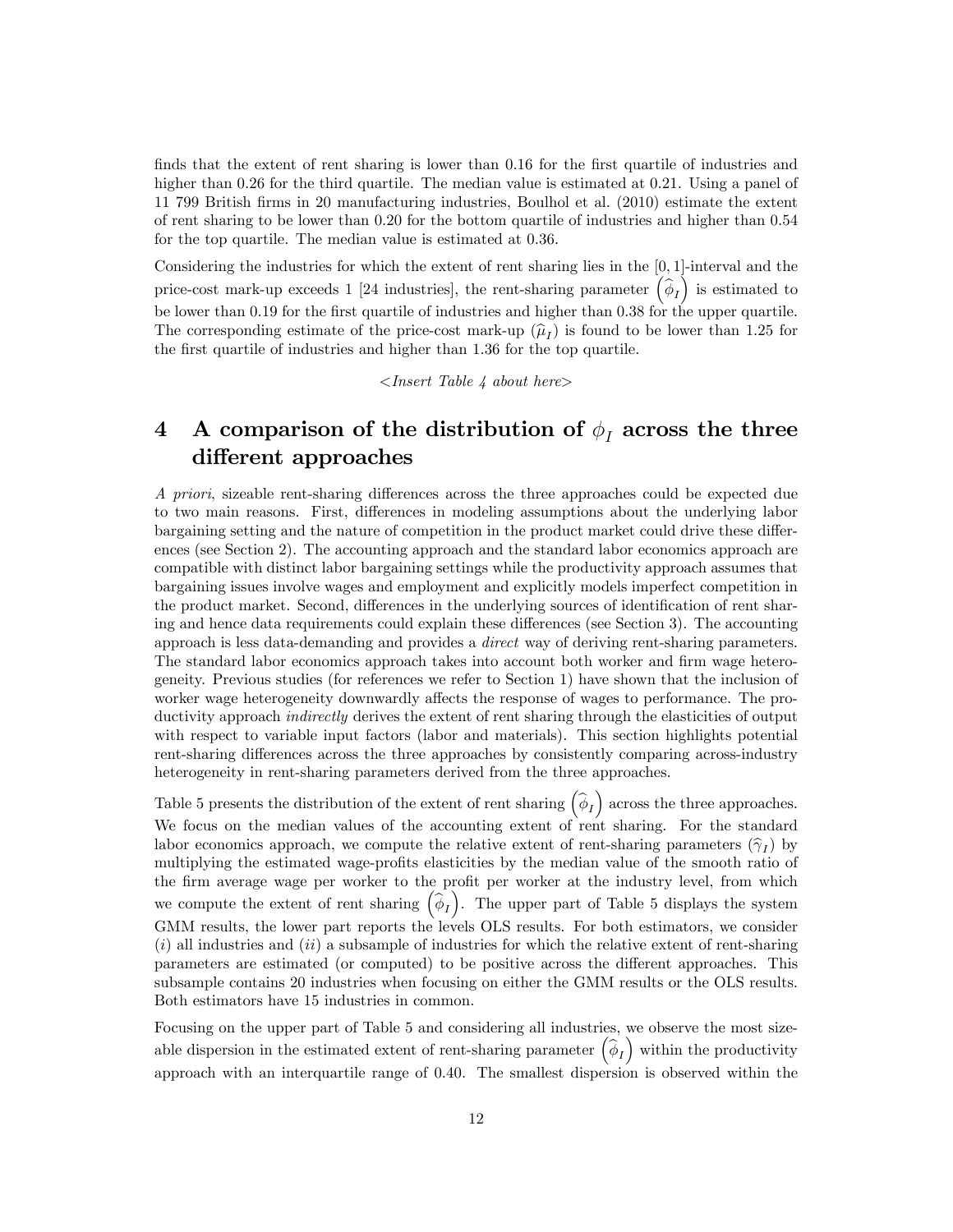finds that the extent of rent sharing is lower than 0.16 for the first quartile of industries and higher than 0.26 for the third quartile. The median value is estimated at 0.21. Using a panel of 11 799 British Örms in 20 manufacturing industries, Boulhol et al. (2010) estimate the extent of rent sharing to be lower than 0.20 for the bottom quartile of industries and higher than 0.54 for the top quartile. The median value is estimated at 0.36.

Considering the industries for which the extent of rent sharing lies in the [0; 1]-interval and the price-cost mark-up exceeds 1 [24 industries], the rent-sharing parameter  $(\hat{\phi}_I)$  is estimated to be lower than 0.19 for the first quartile of industries and higher than 0.38 for the upper quartile. The corresponding estimate of the price-cost mark-up  $(\hat{\mu}_I)$  is found to be lower than 1.25 for the first quartile of industries and higher than 1.36 for the top quartile.

 $\langle$ Insert Table 4 about here $\rangle$ 

## 4 A comparison of the distribution of  $\phi_I$  across the three different approaches

A priori, sizeable rent-sharing differences across the three approaches could be expected due to two main reasons. First, differences in modeling assumptions about the underlying labor bargaining setting and the nature of competition in the product market could drive these differences (see Section 2). The accounting approach and the standard labor economics approach are compatible with distinct labor bargaining settings while the productivity approach assumes that bargaining issues involve wages and employment and explicitly models imperfect competition in the product market. Second, differences in the underlying sources of identification of rent sharing and hence data requirements could explain these differences (see Section 3). The accounting approach is less data-demanding and provides a direct way of deriving rent-sharing parameters. The standard labor economics approach takes into account both worker and firm wage heterogeneity. Previous studies (for references we refer to Section 1) have shown that the inclusion of worker wage heterogeneity downwardly affects the response of wages to performance. The productivity approach indirectly derives the extent of rent sharing through the elasticities of output with respect to variable input factors (labor and materials). This section highlights potential rent-sharing differences across the three approaches by consistently comparing across-industry heterogeneity in rent-sharing parameters derived from the three approaches.

Table 5 presents the distribution of the extent of rent sharing  $(\hat{\phi}_I)$  across the three approaches. We focus on the median values of the accounting extent of rent sharing. For the standard labor economics approach, we compute the relative extent of rent-sharing parameters  $(\hat{\gamma}_I)$  by multiplying the estimated wage-profits elasticities by the median value of the smooth ratio of the firm average wage per worker to the profit per worker at the industry level, from which we compute the extent of rent sharing  $\left(\widehat{\phi}_I\right)$ . The upper part of Table 5 displays the system GMM results, the lower part reports the levels OLS results. For both estimators, we consider  $(i)$  all industries and  $(ii)$  a subsample of industries for which the relative extent of rent-sharing parameters are estimated (or computed) to be positive across the different approaches. This subsample contains 20 industries when focusing on either the GMM results or the OLS results. Both estimators have 15 industries in common.

Focusing on the upper part of Table 5 and considering all industries, we observe the most sizeable dispersion in the estimated extent of rent-sharing parameter  $(\hat{\phi}_I)$  within the productivity approach with an interquartile range of 0.40. The smallest dispersion is observed within the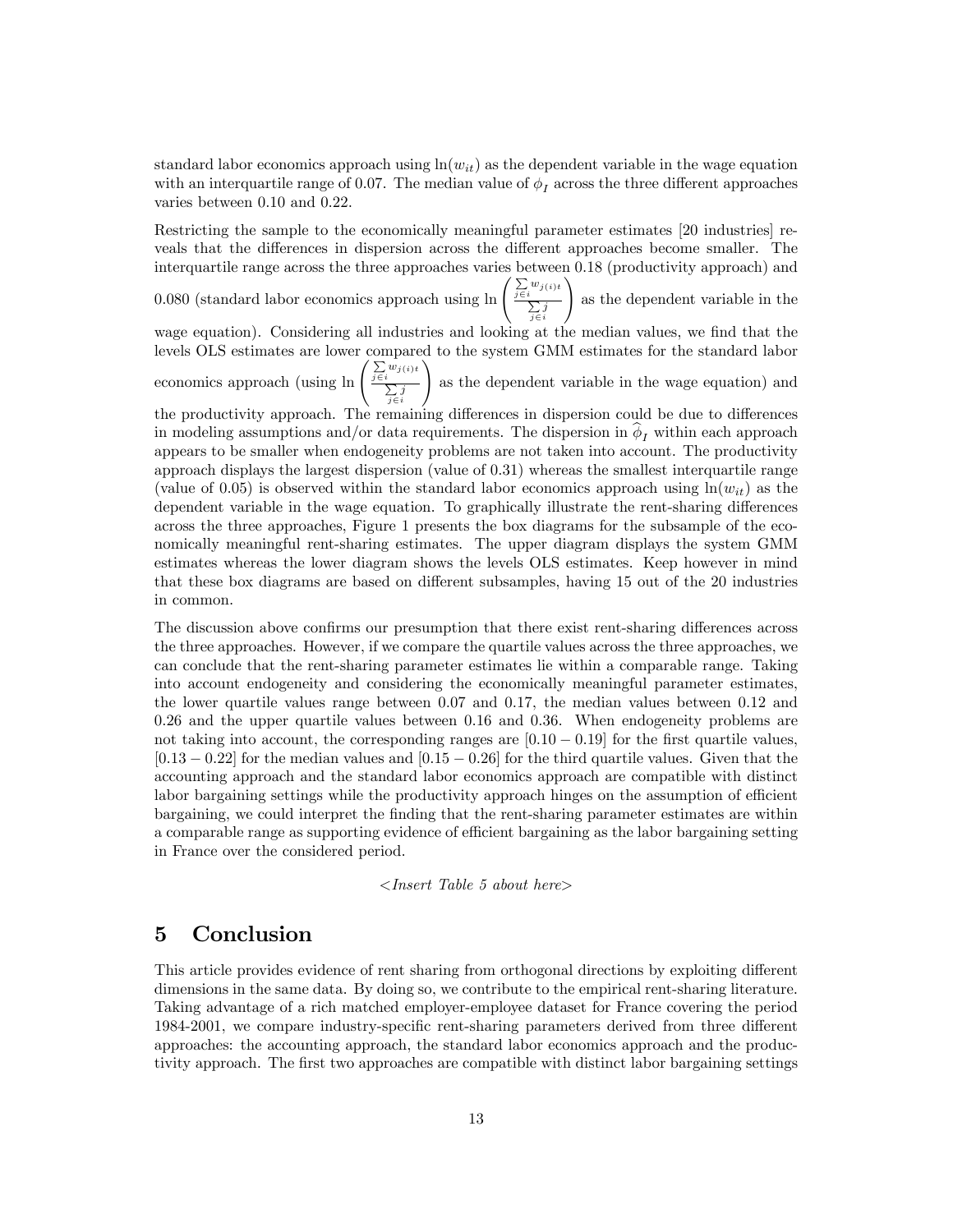standard labor economics approach using  $ln(w_{it})$  as the dependent variable in the wage equation with an interquartile range of 0.07. The median value of  $\phi_I$  across the three different approaches varies between 0.10 and 0.22.

Restricting the sample to the economically meaningful parameter estimates [20 industries] reveals that the differences in dispersion across the different approaches become smaller. The interquartile range across the three approaches varies between 0.18 (productivity approach) and

0.080 (standard labor economics approach using  $\ln \left( \frac{\sum w_{j(i)}}{\sum z_i} \right)$  $\sum_{j \in i} j$ ! as the dependent variable in the

wage equation). Considering all industries and looking at the median values, we find that the levels OLS estimates are lower compared to the system GMM estimates for the standard labor economics approach (using  $\ln \left( \frac{\sum_{j \in i} w_{j(i)t}}{\sum_{j \in i} w_{j(i)t}} \right)$ !

 $\sum_{j \in i} j$ as the dependent variable in the wage equation) and

the productivity approach. The remaining differences in dispersion could be due to differences in modeling assumptions and/or data requirements. The dispersion in  $\phi_I$  within each approach appears to be smaller when endogeneity problems are not taken into account. The productivity approach displays the largest dispersion (value of 0.31) whereas the smallest interquartile range (value of 0.05) is observed within the standard labor economics approach using  $ln(w_{it})$  as the dependent variable in the wage equation. To graphically illustrate the rent-sharing differences across the three approaches, Figure 1 presents the box diagrams for the subsample of the economically meaningful rent-sharing estimates. The upper diagram displays the system GMM estimates whereas the lower diagram shows the levels OLS estimates. Keep however in mind that these box diagrams are based on different subsamples, having 15 out of the 20 industries in common.

The discussion above confirms our presumption that there exist rent-sharing differences across the three approaches. However, if we compare the quartile values across the three approaches, we can conclude that the rent-sharing parameter estimates lie within a comparable range. Taking into account endogeneity and considering the economically meaningful parameter estimates, the lower quartile values range between 0.07 and 0.17, the median values between 0.12 and 0.26 and the upper quartile values between 0.16 and 0.36. When endogeneity problems are not taking into account, the corresponding ranges are  $[0.10 - 0.19]$  for the first quartile values,  $[0.13 - 0.22]$  for the median values and  $[0.15 - 0.26]$  for the third quartile values. Given that the accounting approach and the standard labor economics approach are compatible with distinct labor bargaining settings while the productivity approach hinges on the assumption of efficient bargaining, we could interpret the Önding that the rent-sharing parameter estimates are within a comparable range as supporting evidence of efficient bargaining as the labor bargaining setting in France over the considered period.

$$
< Insert\ Table\ 5\ about\ here>
$$

## 5 Conclusion

This article provides evidence of rent sharing from orthogonal directions by exploiting different dimensions in the same data. By doing so, we contribute to the empirical rent-sharing literature. Taking advantage of a rich matched employer-employee dataset for France covering the period 1984-2001, we compare industry-specific rent-sharing parameters derived from three different approaches: the accounting approach, the standard labor economics approach and the productivity approach. The first two approaches are compatible with distinct labor bargaining settings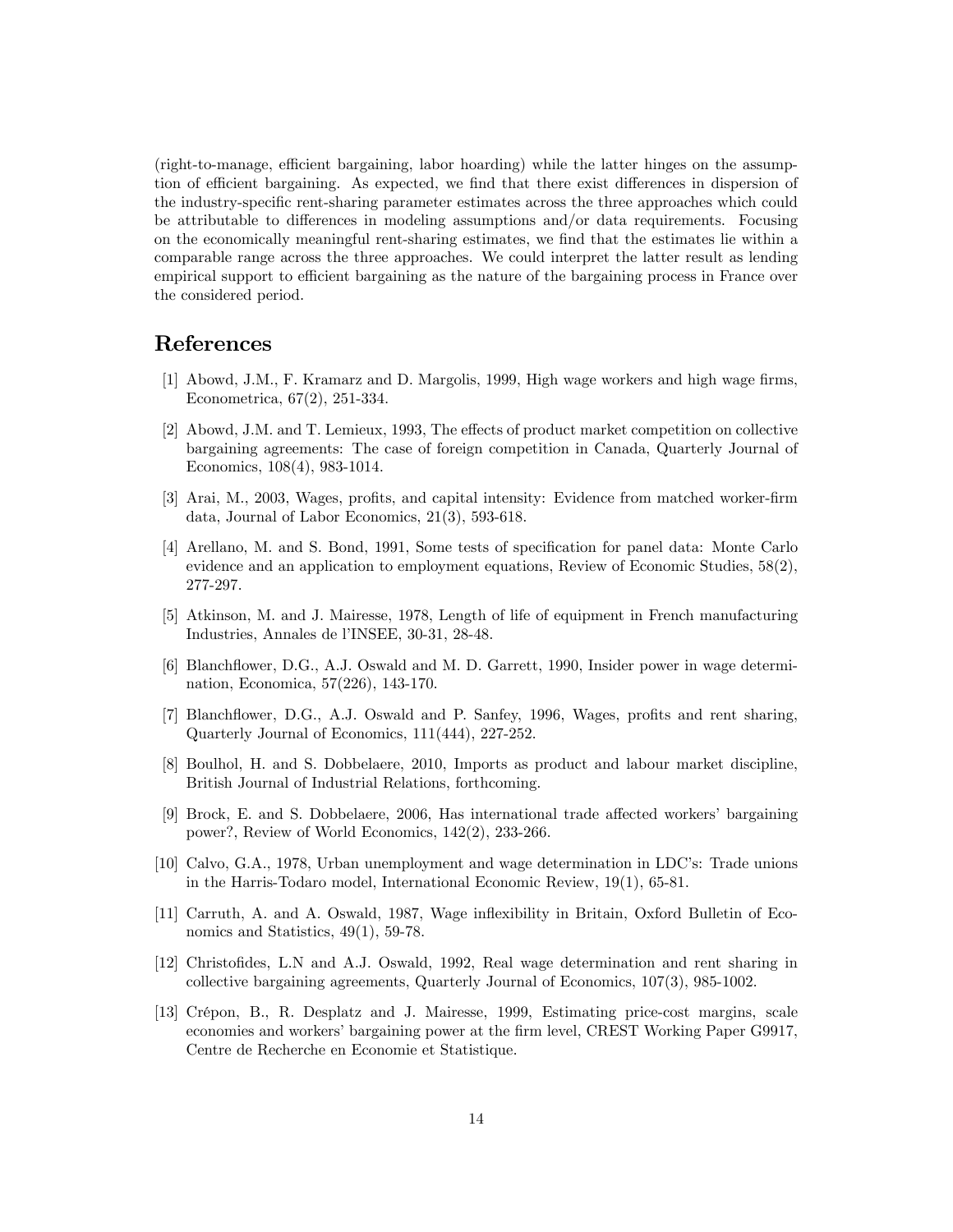(right-to-manage, efficient bargaining, labor hoarding) while the latter hinges on the assumption of efficient bargaining. As expected, we find that there exist differences in dispersion of the industry-specific rent-sharing parameter estimates across the three approaches which could be attributable to differences in modeling assumptions and/or data requirements. Focusing on the economically meaningful rent-sharing estimates, we Önd that the estimates lie within a comparable range across the three approaches. We could interpret the latter result as lending empirical support to efficient bargaining as the nature of the bargaining process in France over the considered period.

## References

- [1] Abowd, J.M., F. Kramarz and D. Margolis, 1999, High wage workers and high wage Örms, Econometrica, 67(2), 251-334.
- [2] Abowd, J.M. and T. Lemieux, 1993, The effects of product market competition on collective bargaining agreements: The case of foreign competition in Canada, Quarterly Journal of Economics, 108(4), 983-1014.
- [3] Arai, M., 2003, Wages, profits, and capital intensity: Evidence from matched worker-firm data, Journal of Labor Economics, 21(3), 593-618.
- [4] Arellano, M. and S. Bond, 1991, Some tests of specification for panel data: Monte Carlo evidence and an application to employment equations, Review of Economic Studies, 58(2), 277-297.
- [5] Atkinson, M. and J. Mairesse, 1978, Length of life of equipment in French manufacturing Industries, Annales de líINSEE, 30-31, 28-48.
- [6] Blanchflower, D.G., A.J. Oswald and M. D. Garrett, 1990, Insider power in wage determination, Economica, 57(226), 143-170.
- [7] Blanchflower, D.G., A.J. Oswald and P. Sanfey, 1996, Wages, profits and rent sharing, Quarterly Journal of Economics, 111(444), 227-252.
- [8] Boulhol, H. and S. Dobbelaere, 2010, Imports as product and labour market discipline, British Journal of Industrial Relations, forthcoming.
- [9] Brock, E. and S. Dobbelaere, 2006, Has international trade affected workers' bargaining power?, Review of World Economics, 142(2), 233-266.
- [10] Calvo, G.A., 1978, Urban unemployment and wage determination in LDC's: Trade unions in the Harris-Todaro model, International Economic Review, 19(1), 65-81.
- [11] Carruth, A. and A. Oswald, 1987, Wage inflexibility in Britain, Oxford Bulletin of Economics and Statistics,  $49(1)$ , 59-78.
- [12] Christofides, L.N and A.J. Oswald, 1992, Real wage determination and rent sharing in collective bargaining agreements, Quarterly Journal of Economics, 107(3), 985-1002.
- [13] CrÈpon, B., R. Desplatz and J. Mairesse, 1999, Estimating price-cost margins, scale economies and workers' bargaining power at the firm level, CREST Working Paper G9917, Centre de Recherche en Economie et Statistique.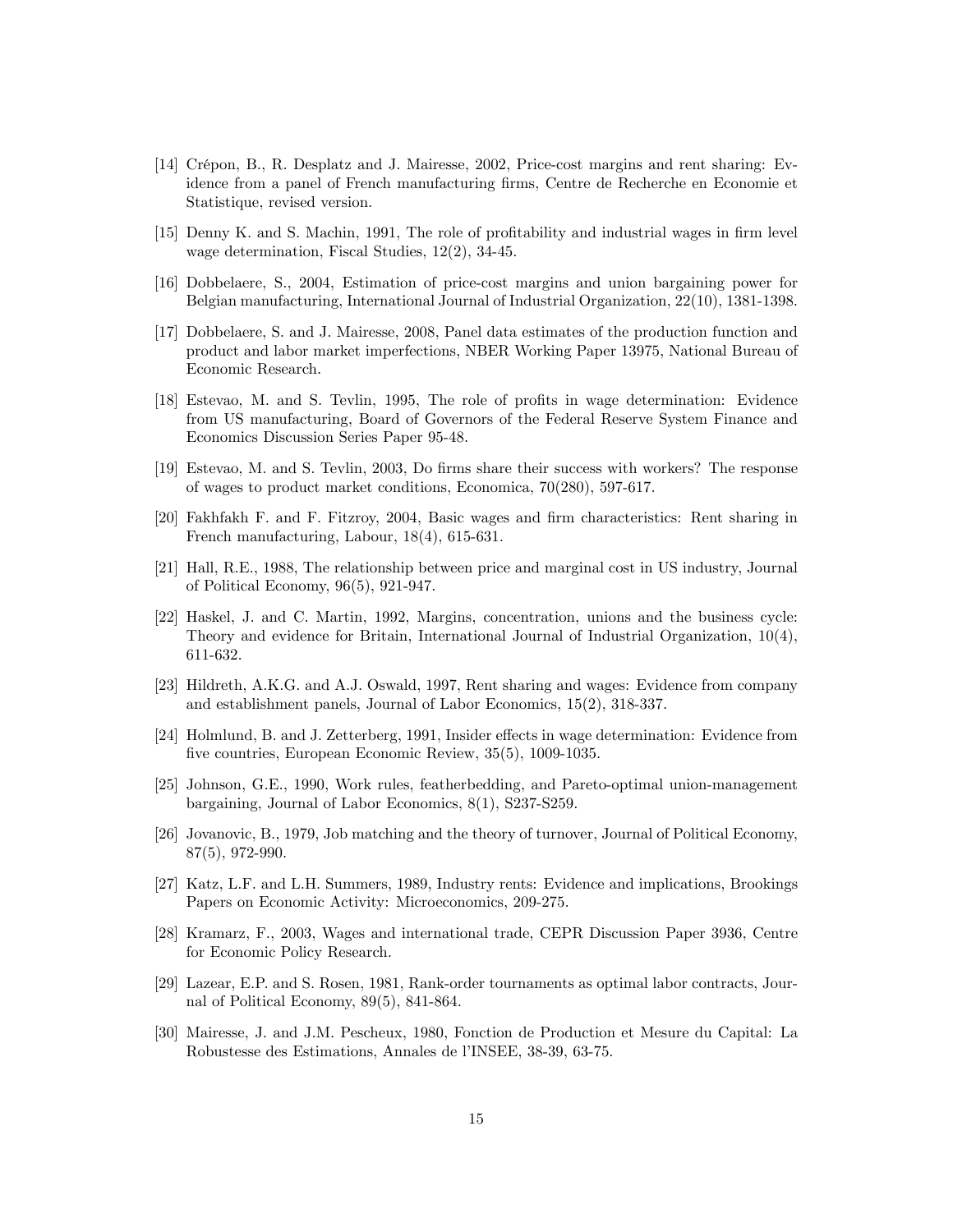- [14] Crépon, B., R. Desplatz and J. Mairesse, 2002, Price-cost margins and rent sharing: Evidence from a panel of French manufacturing firms, Centre de Recherche en Economie et Statistique, revised version.
- [15] Denny K. and S. Machin, 1991, The role of profitability and industrial wages in firm level wage determination, Fiscal Studies, 12(2), 34-45.
- [16] Dobbelaere, S., 2004, Estimation of price-cost margins and union bargaining power for Belgian manufacturing, International Journal of Industrial Organization, 22(10), 1381-1398.
- [17] Dobbelaere, S. and J. Mairesse, 2008, Panel data estimates of the production function and product and labor market imperfections, NBER Working Paper 13975, National Bureau of Economic Research.
- [18] Estevao, M. and S. Tevlin, 1995, The role of profits in wage determination: Evidence from US manufacturing, Board of Governors of the Federal Reserve System Finance and Economics Discussion Series Paper 95-48.
- [19] Estevao, M. and S. Tevlin, 2003, Do Örms share their success with workers? The response of wages to product market conditions, Economica, 70(280), 597-617.
- [20] Fakhfakh F. and F. Fitzroy, 2004, Basic wages and Örm characteristics: Rent sharing in French manufacturing, Labour, 18(4), 615-631.
- [21] Hall, R.E., 1988, The relationship between price and marginal cost in US industry, Journal of Political Economy, 96(5), 921-947.
- [22] Haskel, J. and C. Martin, 1992, Margins, concentration, unions and the business cycle: Theory and evidence for Britain, International Journal of Industrial Organization, 10(4), 611-632.
- [23] Hildreth, A.K.G. and A.J. Oswald, 1997, Rent sharing and wages: Evidence from company and establishment panels, Journal of Labor Economics, 15(2), 318-337.
- [24] Holmlund, B. and J. Zetterberg, 1991, Insider effects in wage determination: Evidence from five countries, European Economic Review, 35(5), 1009-1035.
- [25] Johnson, G.E., 1990, Work rules, featherbedding, and Pareto-optimal union-management bargaining, Journal of Labor Economics, 8(1), S237-S259.
- [26] Jovanovic, B., 1979, Job matching and the theory of turnover, Journal of Political Economy, 87(5), 972-990.
- [27] Katz, L.F. and L.H. Summers, 1989, Industry rents: Evidence and implications, Brookings Papers on Economic Activity: Microeconomics, 209-275.
- [28] Kramarz, F., 2003, Wages and international trade, CEPR Discussion Paper 3936, Centre for Economic Policy Research.
- [29] Lazear, E.P. and S. Rosen, 1981, Rank-order tournaments as optimal labor contracts, Journal of Political Economy, 89(5), 841-864.
- [30] Mairesse, J. and J.M. Pescheux, 1980, Fonction de Production et Mesure du Capital: La Robustesse des Estimations, Annales de líINSEE, 38-39, 63-75.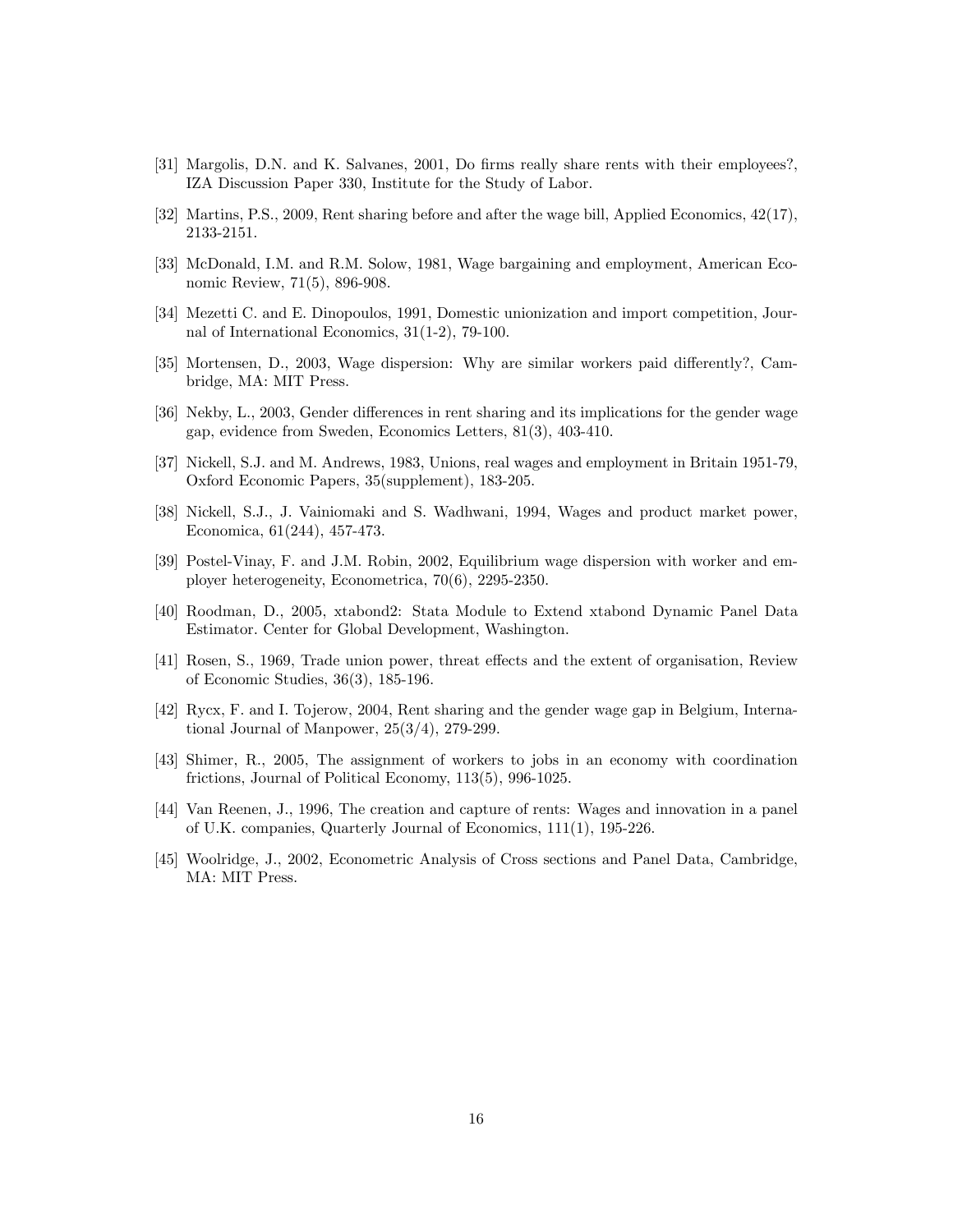- [31] Margolis, D.N. and K. Salvanes, 2001, Do firms really share rents with their employees?, IZA Discussion Paper 330, Institute for the Study of Labor.
- [32] Martins, P.S., 2009, Rent sharing before and after the wage bill, Applied Economics, 42(17), 2133-2151.
- [33] McDonald, I.M. and R.M. Solow, 1981, Wage bargaining and employment, American Economic Review, 71(5), 896-908.
- [34] Mezetti C. and E. Dinopoulos, 1991, Domestic unionization and import competition, Journal of International Economics, 31(1-2), 79-100.
- [35] Mortensen, D., 2003, Wage dispersion: Why are similar workers paid differently?, Cambridge, MA: MIT Press.
- [36] Nekby, L., 2003, Gender differences in rent sharing and its implications for the gender wage gap, evidence from Sweden, Economics Letters, 81(3), 403-410.
- [37] Nickell, S.J. and M. Andrews, 1983, Unions, real wages and employment in Britain 1951-79, Oxford Economic Papers, 35(supplement), 183-205.
- [38] Nickell, S.J., J. Vainiomaki and S. Wadhwani, 1994, Wages and product market power, Economica, 61(244), 457-473.
- [39] Postel-Vinay, F. and J.M. Robin, 2002, Equilibrium wage dispersion with worker and employer heterogeneity, Econometrica, 70(6), 2295-2350.
- [40] Roodman, D., 2005, xtabond2: Stata Module to Extend xtabond Dynamic Panel Data Estimator. Center for Global Development, Washington.
- [41] Rosen, S., 1969, Trade union power, threat effects and the extent of organisation, Review of Economic Studies, 36(3), 185-196.
- [42] Rycx, F. and I. Tojerow, 2004, Rent sharing and the gender wage gap in Belgium, International Journal of Manpower, 25(3/4), 279-299.
- [43] Shimer, R., 2005, The assignment of workers to jobs in an economy with coordination frictions, Journal of Political Economy, 113(5), 996-1025.
- [44] Van Reenen, J., 1996, The creation and capture of rents: Wages and innovation in a panel of U.K. companies, Quarterly Journal of Economics, 111(1), 195-226.
- [45] Woolridge, J., 2002, Econometric Analysis of Cross sections and Panel Data, Cambridge, MA: MIT Press.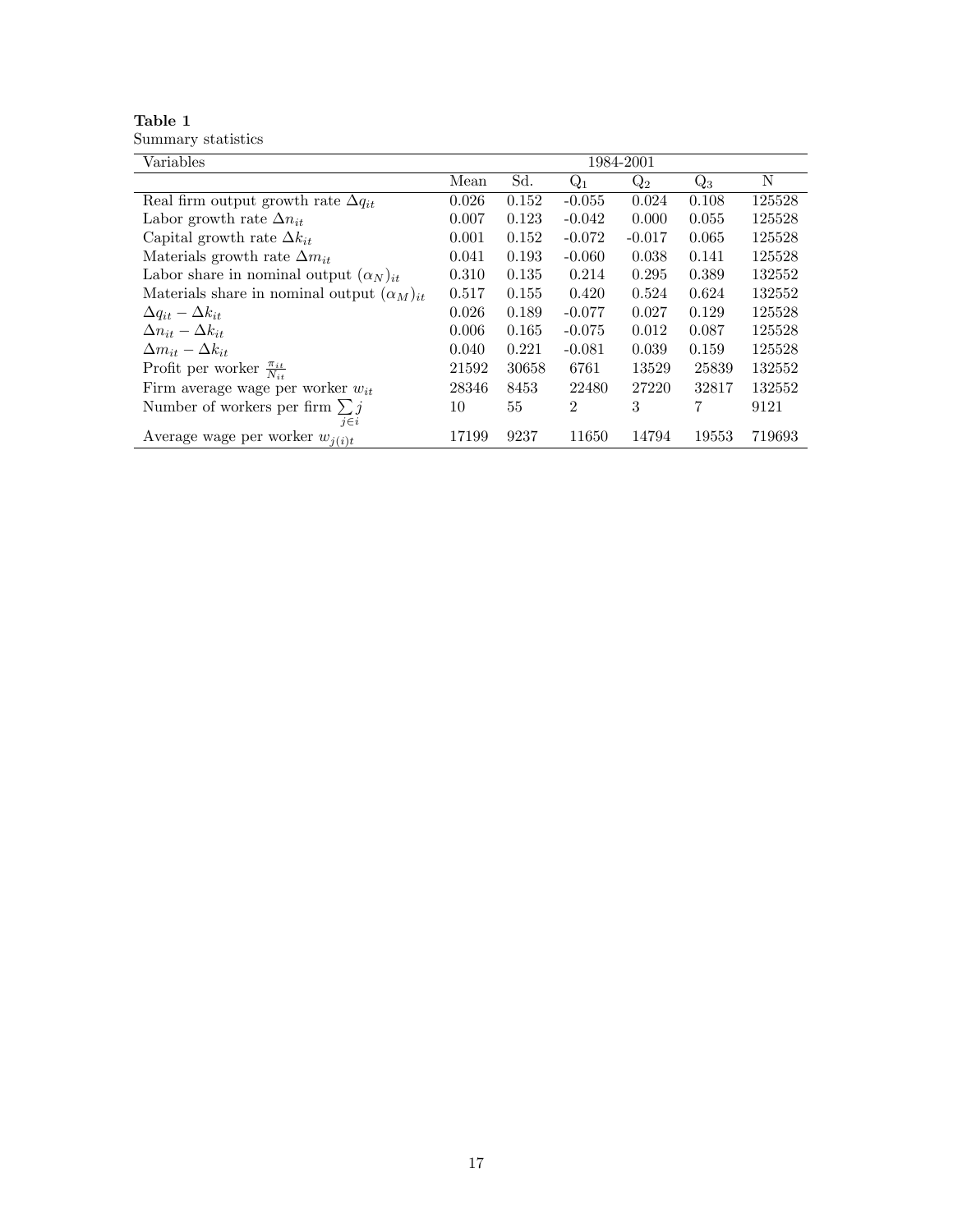| Table 1            |  |
|--------------------|--|
| Summary statistics |  |

| Variables                                           | 1984-2001 |       |                |          |       |        |  |
|-----------------------------------------------------|-----------|-------|----------------|----------|-------|--------|--|
|                                                     | Mean      | Sd.   | $Q_1$          | $Q_2$    | $Q_3$ | N      |  |
| Real firm output growth rate $\Delta q_{it}$        | 0.026     | 0.152 | $-0.055$       | 0.024    | 0.108 | 125528 |  |
| Labor growth rate $\Delta n_{it}$                   | 0.007     | 0.123 | $-0.042$       | 0.000    | 0.055 | 125528 |  |
| Capital growth rate $\Delta k_{it}$                 | 0.001     | 0.152 | $-0.072$       | $-0.017$ | 0.065 | 125528 |  |
| Materials growth rate $\Delta m_{it}$               | 0.041     | 0.193 | $-0.060$       | 0.038    | 0.141 | 125528 |  |
| Labor share in nominal output $(\alpha_N)_{it}$     | 0.310     | 0.135 | 0.214          | 0.295    | 0.389 | 132552 |  |
| Materials share in nominal output $(\alpha_M)_{it}$ | 0.517     | 0.155 | 0.420          | 0.524    | 0.624 | 132552 |  |
| $\Delta q_{it} - \Delta k_{it}$                     | 0.026     | 0.189 | $-0.077$       | 0.027    | 0.129 | 125528 |  |
| $\Delta n_{it} - \Delta k_{it}$                     | 0.006     | 0.165 | $-0.075$       | 0.012    | 0.087 | 125528 |  |
| $\Delta m_{it} - \Delta k_{it}$                     | 0.040     | 0.221 | $-0.081$       | 0.039    | 0.159 | 125528 |  |
| Profit per worker $\frac{\pi_{it}}{N_{it}}$         | 21592     | 30658 | 6761           | 13529    | 25839 | 132552 |  |
| Firm average wage per worker $w_{it}$               | 28346     | 8453  | 22480          | 27220    | 32817 | 132552 |  |
| Number of workers per firm $\sum j$                 | 10        | 55    | $\overline{2}$ | 3        | 7     | 9121   |  |
| $j \in i$                                           |           |       |                |          |       |        |  |
| Average wage per worker $w_{i(i)t}$                 | 17199     | 9237  | 11650          | 14794    | 19553 | 719693 |  |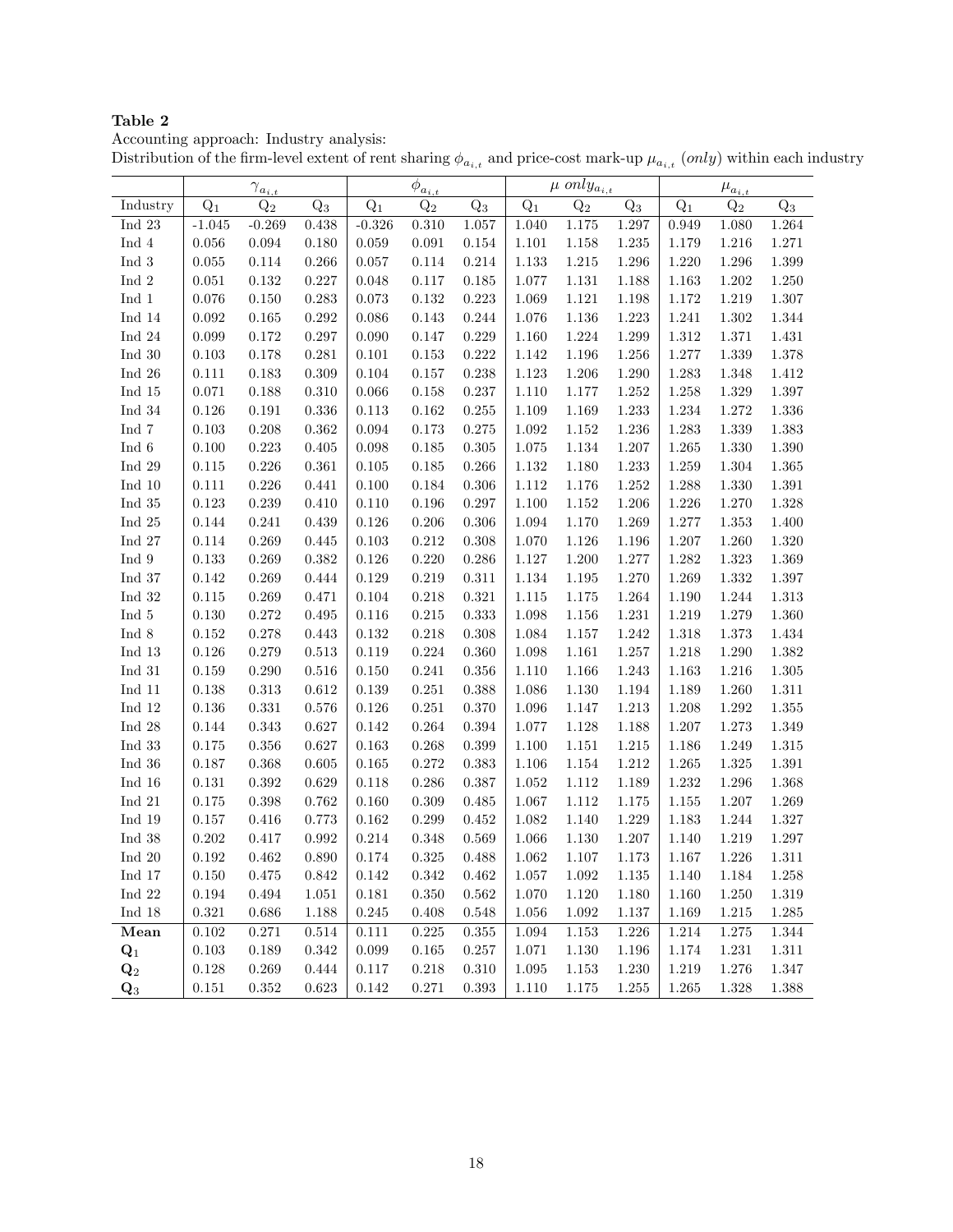Accounting approach: Industry analysis:

|  |  |  |  | Distribution of the firm-level extent of rent sharing $\phi_{a_{i,t}}$ and price-cost mark-up $\mu_{a_{i,t}}$ (only) within each industry |  |
|--|--|--|--|-------------------------------------------------------------------------------------------------------------------------------------------|--|
|  |  |  |  |                                                                                                                                           |  |

|                         |             | $\gamma_{\underline{a_{i,t}}}$ |           |          | $\phi_{\underline{a_{i,t}}}$ |           |           | $\mu$ only <sub>a<sub>i,t</sub></sub> |           |       | $\mu_{\underline{a_{i,t}}}$ |           |
|-------------------------|-------------|--------------------------------|-----------|----------|------------------------------|-----------|-----------|---------------------------------------|-----------|-------|-----------------------------|-----------|
| Industry                | $Q_1$       | $Q_2$                          | $Q_3$     | $Q_1$    | $Q_2$                        | $Q_3$     | $Q_1$     | $Q_2$                                 | $Q_3$     | $Q_1$ | $Q_2$                       | $Q_3$     |
| Ind 23                  | $-1.045$    | $-0.269$                       | 0.438     | $-0.326$ | 0.310                        | 1.057     | 1.040     | 1.175                                 | 1.297     | 0.949 | 1.080                       | 1.264     |
| Ind 4                   | 0.056       | 0.094                          | 0.180     | 0.059    | 0.091                        | 0.154     | 1.101     | 1.158                                 | 1.235     | 1.179 | 1.216                       | 1.271     |
| Ind 3                   | 0.055       | 0.114                          | 0.266     | 0.057    | 0.114                        | 0.214     | 1.133     | 1.215                                 | 1.296     | 1.220 | 1.296                       | 1.399     |
| Ind 2                   | 0.051       | 0.132                          | 0.227     | 0.048    | 0.117                        | 0.185     | 1.077     | 1.131                                 | 1.188     | 1.163 | 1.202                       | 1.250     |
| Ind 1                   | 0.076       | 0.150                          | 0.283     | 0.073    | 0.132                        | 0.223     | 1.069     | 1.121                                 | 1.198     | 1.172 | 1.219                       | 1.307     |
| Ind 14                  | 0.092       | 0.165                          | 0.292     | 0.086    | 0.143                        | 0.244     | 1.076     | 1.136                                 | 1.223     | 1.241 | 1.302                       | 1.344     |
| Ind $24$                | 0.099       | 0.172                          | 0.297     | 0.090    | 0.147                        | 0.229     | 1.160     | 1.224                                 | 1.299     | 1.312 | 1.371                       | 1.431     |
| Ind $30$                | 0.103       | 0.178                          | 0.281     | 0.101    | 0.153                        | 0.222     | 1.142     | 1.196                                 | 1.256     | 1.277 | 1.339                       | 1.378     |
| Ind $26$                | 0.111       | 0.183                          | 0.309     | 0.104    | 0.157                        | 0.238     | $1.123\,$ | 1.206                                 | 1.290     | 1.283 | 1.348                       | 1.412     |
| Ind 15                  | 0.071       | 0.188                          | 0.310     | 0.066    | 0.158                        | 0.237     | 1.110     | 1.177                                 | 1.252     | 1.258 | 1.329                       | 1.397     |
| Ind $34$                | 0.126       | 0.191                          | 0.336     | 0.113    | 0.162                        | 0.255     | 1.109     | 1.169                                 | 1.233     | 1.234 | 1.272                       | 1.336     |
| Ind 7                   | 0.103       | 0.208                          | 0.362     | 0.094    | 0.173                        | 0.275     | 1.092     | 1.152                                 | 1.236     | 1.283 | 1.339                       | 1.383     |
| Ind 6                   | 0.100       | 0.223                          | 0.405     | 0.098    | 0.185                        | 0.305     | 1.075     | 1.134                                 | 1.207     | 1.265 | 1.330                       | 1.390     |
| Ind 29                  | 0.115       | 0.226                          | 0.361     | 0.105    | 0.185                        | 0.266     | 1.132     | 1.180                                 | 1.233     | 1.259 | 1.304                       | 1.365     |
| Ind $10$                | 0.111       | 0.226                          | 0.441     | 0.100    | 0.184                        | 0.306     | 1.112     | 1.176                                 | 1.252     | 1.288 | 1.330                       | 1.391     |
| Ind $35$                | 0.123       | 0.239                          | 0.410     | 0.110    | 0.196                        | 0.297     | 1.100     | 1.152                                 | 1.206     | 1.226 | 1.270                       | 1.328     |
| Ind 25                  | 0.144       | 0.241                          | 0.439     | 0.126    | 0.206                        | 0.306     | 1.094     | 1.170                                 | 1.269     | 1.277 | 1.353                       | 1.400     |
| Ind 27                  | 0.114       | 0.269                          | 0.445     | 0.103    | 0.212                        | 0.308     | 1.070     | 1.126                                 | 1.196     | 1.207 | 1.260                       | 1.320     |
| Ind 9                   | 0.133       | 0.269                          | 0.382     | 0.126    | 0.220                        | 0.286     | 1.127     | 1.200                                 | 1.277     | 1.282 | 1.323                       | 1.369     |
| Ind 37                  | 0.142       | 0.269                          | 0.444     | 0.129    | 0.219                        | 0.311     | 1.134     | 1.195                                 | 1.270     | 1.269 | 1.332                       | 1.397     |
| Ind $32$                | 0.115       | 0.269                          | 0.471     | 0.104    | 0.218                        | 0.321     | 1.115     | 1.175                                 | 1.264     | 1.190 | 1.244                       | 1.313     |
| Ind 5                   | 0.130       | 0.272                          | 0.495     | 0.116    | 0.215                        | 0.333     | 1.098     | 1.156                                 | 1.231     | 1.219 | 1.279                       | 1.360     |
| Ind 8                   | 0.152       | 0.278                          | 0.443     | 0.132    | 0.218                        | 0.308     | 1.084     | 1.157                                 | 1.242     | 1.318 | 1.373                       | 1.434     |
| Ind 13                  | 0.126       | 0.279                          | 0.513     | 0.119    | 0.224                        | 0.360     | 1.098     | 1.161                                 | 1.257     | 1.218 | 1.290                       | 1.382     |
| $\operatorname{Ind}$ 31 | 0.159       | 0.290                          | 0.516     | 0.150    | 0.241                        | 0.356     | 1.110     | 1.166                                 | 1.243     | 1.163 | 1.216                       | 1.305     |
| Ind 11                  | 0.138       | 0.313                          | 0.612     | 0.139    | 0.251                        | 0.388     | 1.086     | 1.130                                 | 1.194     | 1.189 | 1.260                       | 1.311     |
| Ind $12$                | 0.136       | 0.331                          | 0.576     | 0.126    | 0.251                        | 0.370     | 1.096     | 1.147                                 | 1.213     | 1.208 | 1.292                       | 1.355     |
| Ind 28                  | 0.144       | 0.343                          | 0.627     | 0.142    | 0.264                        | 0.394     | 1.077     | 1.128                                 | 1.188     | 1.207 | 1.273                       | 1.349     |
| Ind 33                  | 0.175       | 0.356                          | 0.627     | 0.163    | 0.268                        | 0.399     | 1.100     | 1.151                                 | 1.215     | 1.186 | 1.249                       | 1.315     |
| Ind $36$                | 0.187       | 0.368                          | 0.605     | 0.165    | 0.272                        | 0.383     | 1.106     | 1.154                                 | 1.212     | 1.265 | 1.325                       | 1.391     |
| Ind $16$                | 0.131       | 0.392                          | 0.629     | 0.118    | 0.286                        | 0.387     | 1.052     | 1.112                                 | 1.189     | 1.232 | 1.296                       | 1.368     |
| $\operatorname{Ind}$ 21 | 0.175       | 0.398                          | 0.762     | 0.160    | 0.309                        | 0.485     | 1.067     | 1.112                                 | 1.175     | 1.155 | 1.207                       | 1.269     |
| Ind $19$                | 0.157       | 0.416                          | 0.773     | 0.162    | 0.299                        | 0.452     | 1.082     | 1.140                                 | 1.229     | 1.183 | 1.244                       | 1.327     |
| ${\rm Ind}~38$          | 0.202       | 0.417                          | 0.992     | 0.214    | 0.348                        | 0.569     | 1.066     | 1.130                                 | 1.207     | 1.140 | 1.219                       | 1.297     |
| Ind $20$                | 0.192       | 0.462                          | 0.890     | 0.174    | 0.325                        | 0.488     | 1.062     | 1.107                                 | 1.173     | 1.167 | 1.226                       | 1.311     |
| Ind 17                  | $0.150\,$   | $0.475\,$                      | 0.842     | 0.142    | $\,0.342\,$                  | $0.462\,$ | 1.057     | 1.092                                 | $1.135\,$ | 1.140 | 1.184                       | 1.258     |
| ${\rm Ind}~22$          | $0.194\,$   | $\,0.494\,$                    | 1.051     | 0.181    | 0.350                        | 0.562     | 1.070     | 1.120                                 | 1.180     | 1.160 | 1.250                       | 1.319     |
| ${\rm Ind}~18$          | $\rm 0.321$ | 0.686                          | 1.188     | 0.245    | 0.408                        | 0.548     | 1.056     | $1.092\,$                             | 1.137     | 1.169 | 1.215                       | 1.285     |
| Mean                    | 0.102       | 0.271                          | $0.514\,$ | 0.111    | $0.225\,$                    | 0.355     | 1.094     | $1.153\,$                             | 1.226     | 1.214 | 1.275                       | $1.344\,$ |
| $\mathbf{Q}_1$          | $0.103\,$   | 0.189                          | 0.342     | 0.099    | $\,0.165\,$                  | $0.257\,$ | 1.071     | 1.130                                 | 1.196     | 1.174 | 1.231                       | 1.311     |
| $\mathbf{Q}_2$          | $0.128\,$   | 0.269                          | 0.444     | 0.117    | 0.218                        | 0.310     | 1.095     | $1.153\,$                             | 1.230     | 1.219 | 1.276                       | 1.347     |
| $\mathbf{Q}_3$          | $0.151\,$   | $\rm 0.352$                    | 0.623     | 0.142    | $0.271\,$                    | $0.393\,$ | 1.110     | $1.175\,$                             | 1.255     | 1.265 | 1.328                       | 1.388     |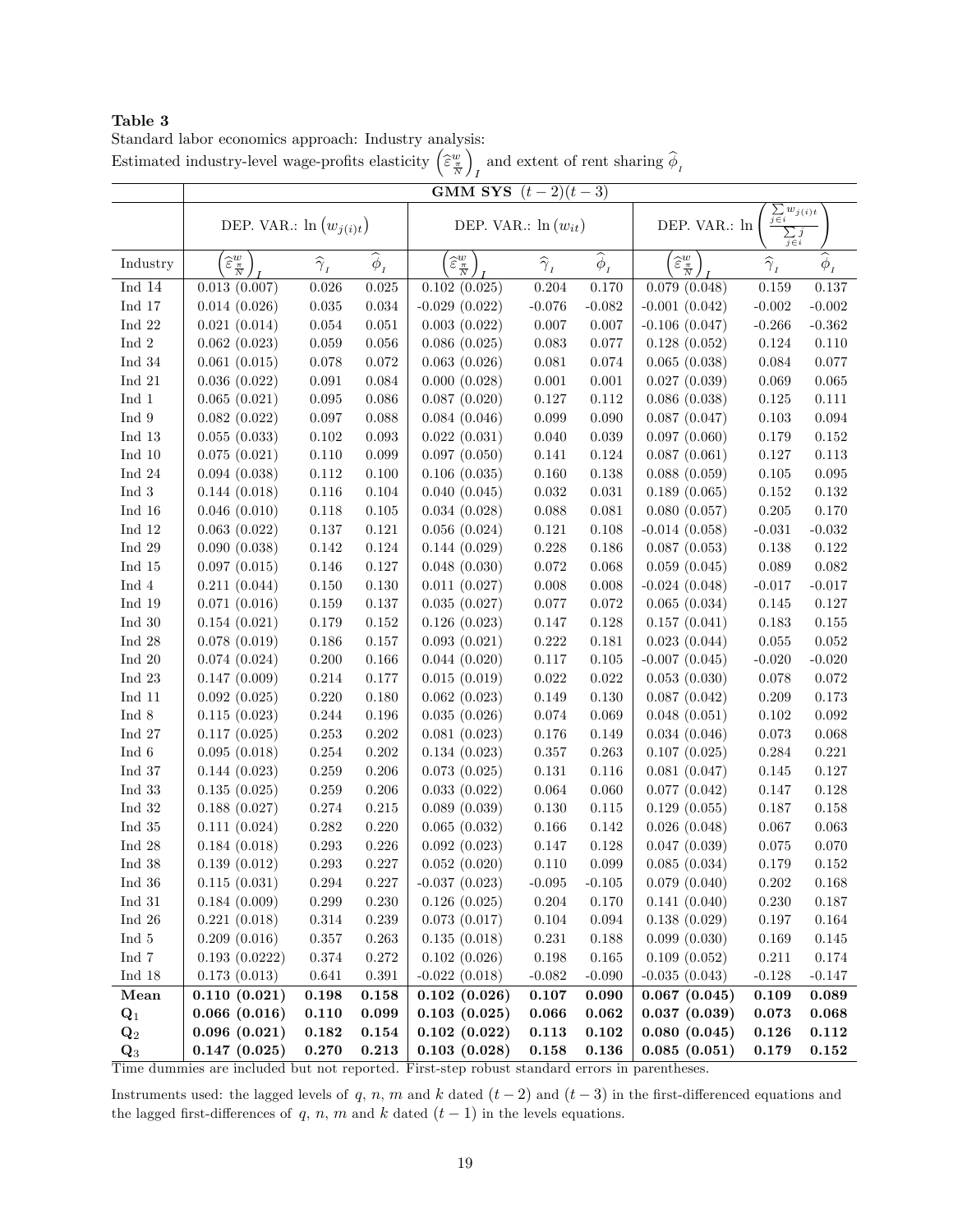Standard labor economics approach: Industry analysis: Estimated industry-level wage-profits elasticity  $\left(\begin{smallmatrix} \widetilde{\varepsilon}^w_\pi\\ \overline{\varepsilon}\end{smallmatrix}\right)$  $\overline{ }$ and extent of rent sharing  $\phi_{I}$ 

|                                                    | <b>GMM SYS</b> $(t-2)(t-3)$               |                         |                                                         |                                           |                         |                           |                                                                                    |                                                           |                      |  |
|----------------------------------------------------|-------------------------------------------|-------------------------|---------------------------------------------------------|-------------------------------------------|-------------------------|---------------------------|------------------------------------------------------------------------------------|-----------------------------------------------------------|----------------------|--|
|                                                    | DEP. VAR.: $\ln(w_{j(i)t})$               |                         |                                                         | DEP. VAR.: $\ln(w_{it})$                  |                         |                           | $\sum w_{j(i)t}$<br>$j \in i$<br>DEP. VAR.: ln<br>$\sum j$<br>$\overline{j} \in i$ |                                                           |                      |  |
| Industry                                           | $\widehat{\varepsilon}^w_{\frac{\pi}{N}}$ | $\widehat{\gamma}_{_I}$ | $\widehat{\boldsymbol{\phi}}_{{\scriptscriptstyle{I}}}$ | $\widehat{\varepsilon}^w_{\frac{\pi}{N}}$ | $\widehat{\gamma}_{_I}$ | $\overline{\hat{\phi}}_I$ | $\widehat{\varepsilon}^w_{\frac{\pi}{N}}$                                          | $\widehat{\boldsymbol{\gamma}}_{{\scriptscriptstyle{I}}}$ | $\widehat{\phi}_{I}$ |  |
| Ind $14$                                           | 0.013(0.007)                              | 0.026                   | 0.025                                                   | 0.102(0.025)                              | 0.204                   | 0.170                     | 0.079(0.048)                                                                       | 0.159                                                     | 0.137                |  |
| ${\rm Ind}$ 17                                     | 0.014(0.026)                              | $\,0.035\,$             | 0.034                                                   | $-0.029(0.022)$                           | $-0.076$                | $-0.082$                  | $-0.001(0.042)$                                                                    | $-0.002$                                                  | $-0.002$             |  |
| Ind 22                                             | 0.021(0.014)                              | 0.054                   | 0.051                                                   | 0.003(0.022)                              | $0.007\,$               | 0.007                     | $-0.106(0.047)$                                                                    | $-0.266$                                                  | $-0.362$             |  |
| Ind 2                                              | 0.062(0.023)                              | 0.059                   | 0.056                                                   | 0.086(0.025)                              | $\,0.083\,$             | 0.077                     | 0.128(0.052)                                                                       | 0.124                                                     | 0.110                |  |
| Ind 34                                             | 0.061(0.015)                              | 0.078                   | 0.072                                                   | 0.063(0.026)                              | 0.081                   | 0.074                     | 0.065(0.038)                                                                       | 0.084                                                     | 0.077                |  |
| Ind 21                                             | 0.036(0.022)                              | 0.091                   | 0.084                                                   | 0.000(0.028)                              | $0.001\,$               | 0.001                     | 0.027(0.039)                                                                       | 0.069                                                     | $\,0.065\,$          |  |
| Ind 1                                              | 0.065(0.021)                              | 0.095                   | 0.086                                                   | 0.087(0.020)                              | 0.127                   | $0.112\,$                 | 0.086(0.038)                                                                       | 0.125                                                     | 0.111                |  |
| Ind 9                                              | 0.082(0.022)                              | 0.097                   | 0.088                                                   | 0.084(0.046)                              | $\,0.099\,$             | 0.090                     | 0.087(0.047)                                                                       | 0.103                                                     | $\,0.094\,$          |  |
| Ind 13                                             | 0.055(0.033)                              | $0.102\,$               | 0.093                                                   | 0.022(0.031)                              | 0.040                   | 0.039                     | 0.097(0.060)                                                                       | 0.179                                                     | 0.152                |  |
| Ind $10$                                           | 0.075(0.021)                              | $0.110\,$               | 0.099                                                   | 0.097(0.050)                              | 0.141                   | 0.124                     | 0.087(0.061)                                                                       | $0.127\,$                                                 | 0.113                |  |
| Ind 24                                             | 0.094(0.038)                              | $0.112\,$               | 0.100                                                   | 0.106(0.035)                              | 0.160                   | 0.138                     | 0.088(0.059)                                                                       | 0.105                                                     | $\,0.095\,$          |  |
| ${\rm Ind}~3$                                      | 0.144(0.018)                              | 0.116                   | 0.104                                                   | 0.040(0.045)                              | 0.032                   | 0.031                     | 0.189(0.065)                                                                       | $0.152\,$                                                 | 0.132                |  |
| Ind 16                                             | 0.046(0.010)                              | 0.118                   | 0.105                                                   | 0.034(0.028)                              | $0.088\,$               | 0.081                     | 0.080(0.057)                                                                       | 0.205                                                     | 0.170                |  |
| Ind 12                                             | 0.063(0.022)                              | 0.137                   | 0.121                                                   | 0.056(0.024)                              | 0.121                   | 0.108                     | $-0.014(0.058)$                                                                    | $-0.031$                                                  | $-0.032$             |  |
| Ind 29                                             | 0.090(0.038)                              | $0.142\,$               | 0.124                                                   | 0.144(0.029)                              | 0.228                   | 0.186                     | 0.087(0.053)                                                                       | 0.138                                                     | 0.122                |  |
| Ind 15                                             | 0.097(0.015)                              | 0.146                   | 0.127                                                   | 0.048(0.030)                              | 0.072                   | 0.068                     | 0.059(0.045)                                                                       | 0.089                                                     | 0.082                |  |
| ${\rm Ind}~4$                                      | 0.211(0.044)                              | 0.150                   | 0.130                                                   | 0.011(0.027)                              | 0.008                   | 0.008                     | $-0.024(0.048)$                                                                    | $-0.017$                                                  | $-0.017$             |  |
| Ind 19                                             | 0.071(0.016)                              | 0.159                   | 0.137                                                   | 0.035(0.027)                              | 0.077                   | 0.072                     | 0.065(0.034)                                                                       | 0.145                                                     | 0.127                |  |
| Ind $30$                                           | 0.154(0.021)                              | 0.179                   | 0.152                                                   | 0.126(0.023)                              | 0.147                   | 0.128                     | 0.157(0.041)                                                                       | 0.183                                                     | 0.155                |  |
| Ind 28                                             | 0.078(0.019)                              | 0.186                   | 0.157                                                   | 0.093(0.021)                              | $0.222\,$               | 0.181                     | 0.023(0.044)                                                                       | 0.055                                                     | 0.052                |  |
| Ind $20$                                           | 0.074(0.024)                              | 0.200                   | 0.166                                                   | 0.044(0.020)                              | 0.117<br>$\,0.022\,$    | 0.105<br>$\,0.022\,$      | $-0.007(0.045)$                                                                    | $-0.020$                                                  | $-0.020$             |  |
| $\operatorname{Ind}$ 23<br>$\operatorname{Ind}$ 11 | 0.147(0.009)                              | 0.214<br>0.220          | 0.177<br>0.180                                          | 0.015(0.019)                              | $0.149\,$               | $0.130\,$                 | 0.053(0.030)                                                                       | 0.078<br>0.209                                            | 0.072<br>$0.173\,$   |  |
| ${\rm Ind}~8$                                      | 0.092(0.025)<br>0.115(0.023)              | 0.244                   | 0.196                                                   | 0.062(0.023)<br>0.035(0.026)              | $0.074\,$               | 0.069                     | 0.087(0.042)<br>0.048(0.051)                                                       | $0.102\,$                                                 | $\,0.092\,$          |  |
| Ind 27                                             | 0.117(0.025)                              | $0.253\,$               | $0.202\,$                                               | 0.081(0.023)                              | $0.176\,$               | 0.149                     | 0.034(0.046)                                                                       | $0.073\,$                                                 | $\,0.068\,$          |  |
| ${\rm Ind\ }6$                                     | 0.095(0.018)                              | 0.254                   | $0.202\,$                                               | 0.134(0.023)                              | $0.357\,$               | 0.263                     | 0.107(0.025)                                                                       | $\,0.284\,$                                               | 0.221                |  |
| ${\rm Ind}~37$                                     | 0.144(0.023)                              | 0.259                   | 0.206                                                   | 0.073(0.025)                              | $0.131\,$               | 0.116                     | 0.081(0.047)                                                                       | $0.145\,$                                                 | $0.127\,$            |  |
| ${\rm Ind}~33$                                     | 0.135(0.025)                              | 0.259                   | $0.206\,$                                               | 0.033(0.022)                              | $0.064\,$               | 0.060                     | 0.077(0.042)                                                                       | 0.147                                                     | 0.128                |  |
| ${\rm Ind}~32$                                     | 0.188(0.027)                              | 0.274                   | $0.215\,$                                               | 0.089(0.039)                              | $0.130\,$               | $0.115\,$                 | 0.129(0.055)                                                                       | $0.187\,$                                                 | 0.158                |  |
| $\operatorname{Ind}$ 35                            | 0.111(0.024)                              | $0.282\,$               | $0.220\,$                                               | 0.065(0.032)                              | $0.166\,$               | 0.142                     | 0.026(0.048)                                                                       | $0.067\,$                                                 | $\,0.063\,$          |  |
| $\operatorname{Ind}$ 28                            | 0.184(0.018)                              | $\,0.293\,$             | $0.226\,$                                               | 0.092(0.023)                              | $0.147\,$               | 0.128                     | 0.047(0.039)                                                                       | $0.075\,$                                                 | $0.070\,$            |  |
| Ind 38                                             | 0.139(0.012)                              | 0.293                   | 0.227                                                   | 0.052(0.020)                              | 0.110                   | 0.099                     | 0.085(0.034)                                                                       | 0.179                                                     | 0.152                |  |
| ${\rm Ind}~36$                                     | 0.115(0.031)                              | $\,0.294\,$             | 0.227                                                   | $-0.037(0.023)$                           | $-0.095$                | $-0.105$                  | 0.079(0.040)                                                                       | $0.202\,$                                                 | $0.168\,$            |  |
| $\operatorname{Ind}$ 31                            | 0.184(0.009)                              | 0.299                   | $0.230\,$                                               | 0.126(0.025)                              | $0.204\,$               | 0.170                     | 0.141(0.040)                                                                       | $0.230\,$                                                 | $0.187\,$            |  |
| ${\rm Ind}$ 26                                     | 0.221(0.018)                              | $0.314\,$               | $0.239\,$                                               | 0.073(0.017)                              | $0.104\,$               | $\,0.094\,$               | 0.138(0.029)                                                                       | $0.197\,$                                                 | $0.164\,$            |  |
| ${\rm Ind}~5$                                      | 0.209(0.016)                              | $0.357\,$               | $\,0.263\,$                                             | 0.135(0.018)                              | $0.231\,$               | 0.188                     | 0.099(0.030)                                                                       | 0.169                                                     | $0.145\,$            |  |
| ${\rm Ind}~7$                                      | 0.193(0.0222)                             | $0.374\,$               | $0.272\,$                                               | 0.102(0.026)                              | $0.198\,$               | $\rm 0.165$               | 0.109(0.052)                                                                       | $0.211\,$                                                 | $0.174\,$            |  |
| $\operatorname{Ind}$ 18                            | 0.173(0.013)                              | 0.641                   | 0.391                                                   | $-0.022(0.018)$                           | $-0.082$                | $-0.090$                  | $-0.035(0.043)$                                                                    | $-0.128$                                                  | $-0.147$             |  |
| Mean                                               | 0.110(0.021)                              | 0.198                   | 0.158                                                   | 0.102(0.026)                              | 0.107                   | 0.090                     | 0.067(0.045)                                                                       | 0.109                                                     | $\boldsymbol{0.089}$ |  |
| $\mathbf{Q}_1$                                     | 0.066(0.016)                              | 0.110                   | 0.099                                                   | 0.103(0.025)                              | 0.066                   | 0.062                     | 0.037(0.039)                                                                       | 0.073                                                     | 0.068                |  |
| $\mathbf{Q}_2$                                     | 0.096(0.021)                              | 0.182                   | $\bf 0.154$                                             | 0.102(0.022)                              | 0.113                   | 0.102                     | 0.080(0.045)                                                                       | 0.126                                                     | 0.112                |  |
| $\mathbf{Q}_3$                                     | 0.147(0.025)                              | 0.270                   | 0.213                                                   | 0.103(0.028)                              | 0.158                   | 0.136                     | 0.085(0.051)                                                                       | 0.179                                                     | 0.152                |  |

Time dummies are included but not reported. First-step robust standard errors in parentheses.

Instruments used: the lagged levels of q, n, m and k dated  $(t-2)$  and  $(t-3)$  in the first-differenced equations and the lagged first-differences of  $q$ ,  $n$ ,  $m$  and  $k$  dated  $(t - 1)$  in the levels equations.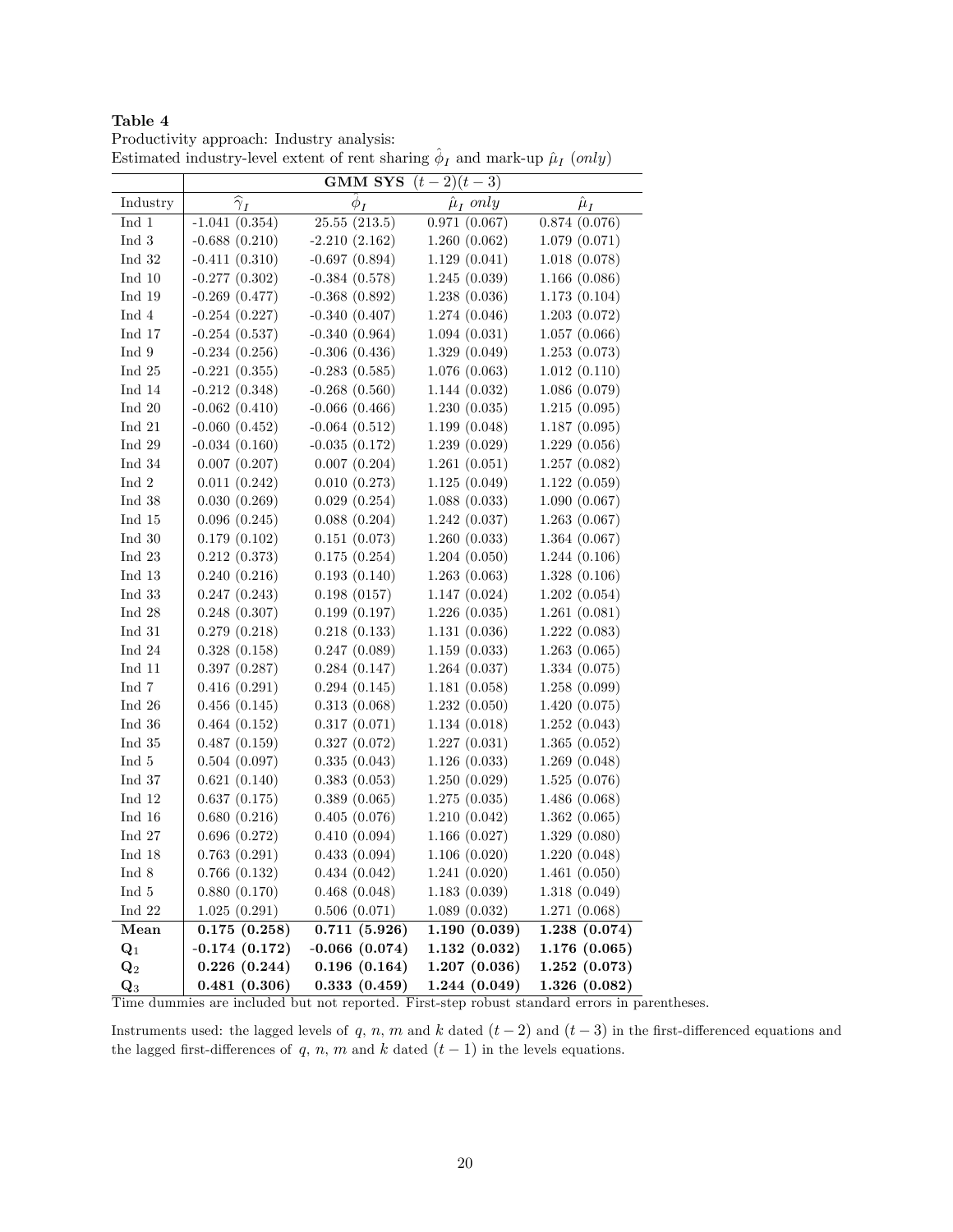Productivity approach: Industry analysis: Estimated industry-level extent of rent sharing  $\hat{\phi}_I$  and mark-up  $\hat{\mu}_I$  (only)

|                         |                      | GMM SYS            | $(t-2)(t-3)$       |               |
|-------------------------|----------------------|--------------------|--------------------|---------------|
| Industry                | $\widehat{\gamma}_I$ | $\phi_I$           | $\hat{\mu}_I$ only | $\hat{\mu}_I$ |
| ${\rm Ind\ }1$          | $-1.041(0.354)$      | 25.55(213.5)       | 0.971(0.067)       | 0.874(0.076)  |
| ${\rm Ind}~3$           | $-0.688(0.210)$      | $-2.210(2.162)$    | 1.260(0.062)       | 1.079(0.071)  |
| ${\rm Ind}~32$          | $-0.411(0.310)$      | $-0.697(0.894)$    | 1.129(0.041)       | 1.018(0.078)  |
| $\operatorname{Ind}$ 10 | $-0.277(0.302)$      | $-0.384(0.578)$    | 1.245(0.039)       | 1.166(0.086)  |
| $\operatorname{Ind}$ 19 | $-0.269(0.477)$      | $-0.368(0.892)$    | 1.238(0.036)       | 1.173(0.104)  |
| ${\rm Ind}~4$           | $-0.254(0.227)$      | $-0.340(0.407)$    | 1.274(0.046)       | 1.203(0.072)  |
| ${\rm Ind}$ 17          | $-0.254(0.537)$      | $-0.340(0.964)$    | 1.094(0.031)       | 1.057(0.066)  |
| ${\rm Ind}~9$           | $-0.234(0.256)$      | $-0.306(0.436)$    | 1.329(0.049)       | 1.253(0.073)  |
| ${\rm Ind}~25$          | $-0.221(0.355)$      | $-0.283(0.585)$    | 1.076(0.063)       | 1.012(0.110)  |
| ${\rm Ind}$ 14          | $-0.212(0.348)$      | $-0.268(0.560)$    | 1.144(0.032)       | 1.086(0.079)  |
| ${\rm Ind}~20$          | $-0.062(0.410)$      | $-0.066$ $(0.466)$ | 1.230(0.035)       | 1.215(0.095)  |
| ${\rm Ind}~21$          | $-0.060$ $(0.452)$   | $-0.064(0.512)$    | 1.199(0.048)       | 1.187(0.095)  |
| ${\rm Ind}$ 29          | $-0.034(0.160)$      | $-0.035(0.172)$    | 1.239(0.029)       | 1.229(0.056)  |
| ${\rm Ind}~34$          | 0.007(0.207)         | 0.007(0.204)       | 1.261(0.051)       | 1.257(0.082)  |
| $\operatorname{Ind}$ 2  | 0.011(0.242)         | 0.010(0.273)       | 1.125(0.049)       | 1.122(0.059)  |
| ${\rm Ind}~38$          | 0.030(0.269)         | 0.029(0.254)       | 1.088(0.033)       | 1.090(0.067)  |
| ${\rm Ind}~15$          | 0.096(0.245)         | 0.088(0.204)       | 1.242(0.037)       | 1.263(0.067)  |
| ${\rm Ind}~30$          | 0.179(0.102)         | 0.151(0.073)       | 1.260(0.033)       | 1.364(0.067)  |
| ${\rm Ind}~23$          | 0.212(0.373)         | 0.175(0.254)       | 1.204(0.050)       | 1.244(0.106)  |
| ${\rm Ind}~13$          | 0.240(0.216)         | 0.193(0.140)       | 1.263(0.063)       | 1.328(0.106)  |
| ${\rm Ind}~33$          | 0.247(0.243)         | 0.198(0157)        | 1.147(0.024)       | 1.202(0.054)  |
| $\operatorname{Ind}$ 28 | 0.248(0.307)         | 0.199(0.197)       | 1.226(0.035)       | 1.261(0.081)  |
| $\operatorname{Ind}$ 31 | 0.279(0.218)         | 0.218(0.133)       | 1.131(0.036)       | 1.222(0.083)  |
| Ind $24$                | 0.328(0.158)         | 0.247(0.089)       | 1.159(0.033)       | 1.263(0.065)  |
| Ind $11$                | 0.397(0.287)         | 0.284(0.147)       | 1.264(0.037)       | 1.334(0.075)  |
| ${\rm Ind}~7$           | 0.416(0.291)         | 0.294(0.145)       | 1.181(0.058)       | 1.258(0.099)  |
| Ind $26$                | 0.456(0.145)         | 0.313(0.068)       | 1.232(0.050)       | 1.420(0.075)  |
| Ind $36$                | 0.464(0.152)         | 0.317(0.071)       | 1.134(0.018)       | 1.252(0.043)  |
| Ind 35                  | 0.487(0.159)         | 0.327(0.072)       | 1.227(0.031)       | 1.365(0.052)  |
| Ind 5                   | 0.504(0.097)         | 0.335(0.043)       | 1.126(0.033)       | 1.269(0.048)  |
| Ind 37                  | 0.621(0.140)         | 0.383(0.053)       | 1.250(0.029)       | 1.525(0.076)  |
| ${\rm Ind}~12$          | 0.637(0.175)         | 0.389(0.065)       | 1.275(0.035)       | 1.486(0.068)  |
| ${\rm Ind\ 16}$         | 0.680(0.216)         | 0.405(0.076)       | 1.210(0.042)       | 1.362(0.065)  |
| ${\rm Ind}~27$          | 0.696(0.272)         | 0.410(0.094)       | 1.166(0.027)       | 1.329(0.080)  |
| $\operatorname{Ind}$ 18 | 0.763(0.291)         | 0.433(0.094)       | 1.106(0.020)       | 1.220(0.048)  |
| $\operatorname{Ind}$ 8  | 0.766(0.132)         | 0.434(0.042)       | 1.241(0.020)       | 1.461(0.050)  |
| Ind 5                   | 0.880(0.170)         | 0.468(0.048)       | 1.183(0.039)       | 1.318(0.049)  |
| Ind $22$                | 1.025(0.291)         | 0.506(0.071)       | 1.089(0.032)       | 1.271(0.068)  |
| Mean                    | 0.175(0.258)         | 0.711(5.926)       | 1.190(0.039)       | 1.238(0.074)  |
| $\mathbf{Q}_1$          | $-0.174(0.172)$      | $-0.066$ $(0.074)$ | 1.132(0.032)       | 1.176(0.065)  |
| $\mathbf{Q}_2$          | 0.226(0.244)         | 0.196(0.164)       | 1.207(0.036)       | 1.252(0.073)  |
| $\mathbf{Q}_3$          | 0.481(0.306)         | 0.333(0.459)       | 1.244(0.049)       | 1.326(0.082)  |

Time dummies are included but not reported. First-step robust standard errors in parentheses.

Instruments used: the lagged levels of q, n, m and k dated  $(t-2)$  and  $(t-3)$  in the first-differenced equations and the lagged first-differences of q, n, m and k dated  $(t - 1)$  in the levels equations.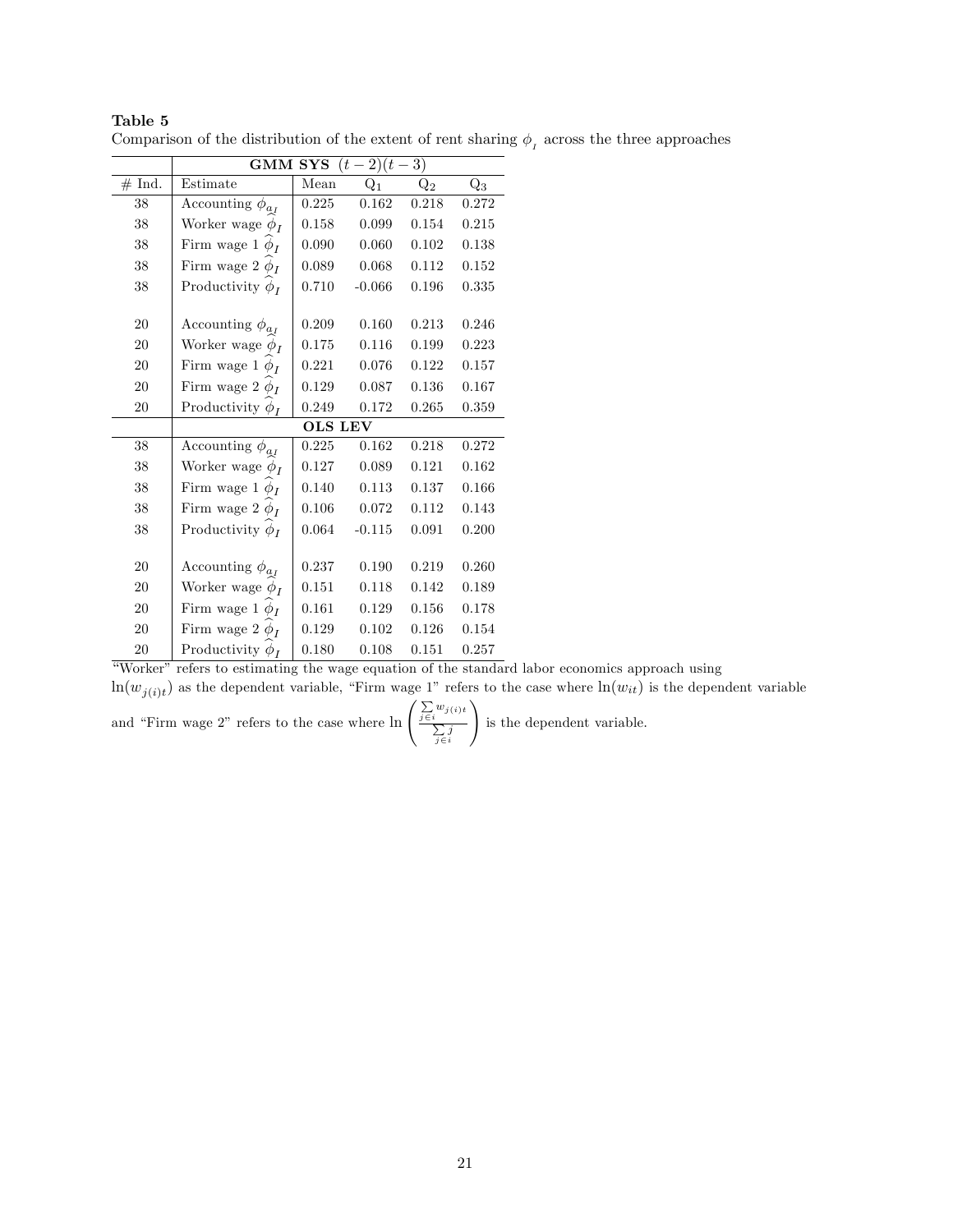|        | $(t-2)(t-3)$<br><b>GMM SYS</b> |                |          |                |       |  |  |  |  |
|--------|--------------------------------|----------------|----------|----------------|-------|--|--|--|--|
| # Ind. | Estimate                       | Mean           | $Q_1$    | $\mathrm{Q}_2$ | $Q_3$ |  |  |  |  |
| $38\,$ | Accounting $\phi_{a_I}$        | 0.225          | 0.162    | 0.218          | 0.272 |  |  |  |  |
| 38     | Worker wage $\phi_I$           | 0.158          | 0.099    | 0.154          | 0.215 |  |  |  |  |
| 38     | Firm wage 1 $\phi_I$           | 0.090          | 0.060    | 0.102          | 0.138 |  |  |  |  |
| 38     | Firm wage 2 $\phi_I$           | 0.089          | 0.068    | 0.112          | 0.152 |  |  |  |  |
| 38     | Productivity $\phi_I$          | 0.710          | $-0.066$ | 0.196          | 0.335 |  |  |  |  |
|        |                                |                |          |                |       |  |  |  |  |
| 20     | Accounting $\phi_{a_I}$        | 0.209          | 0.160    | 0.213          | 0.246 |  |  |  |  |
| 20     | Worker wage $\phi_I$           | 0.175          | 0.116    | 0.199          | 0.223 |  |  |  |  |
| 20     | Firm wage 1 $\phi_I$           | 0.221          | 0.076    | 0.122          | 0.157 |  |  |  |  |
| 20     | Firm wage 2 $\phi_I$           | 0.129          | 0.087    | 0.136          | 0.167 |  |  |  |  |
| 20     | Productivity $\phi_I$          | 0.249          | 0.172    | 0.265          | 0.359 |  |  |  |  |
|        |                                | <b>OLS LEV</b> |          |                |       |  |  |  |  |
| 38     | Accounting $\phi_{a_I}$        | 0.225          | 0.162    | 0.218          | 0.272 |  |  |  |  |
| 38     | Worker wage $\phi_I$           | 0.127          | 0.089    | 0.121          | 0.162 |  |  |  |  |
| 38     | Firm wage 1 $\phi_I$           | 0.140          | 0.113    | 0.137          | 0.166 |  |  |  |  |
| 38     | Firm wage 2 $\phi_I$           | 0.106          | 0.072    | 0.112          | 0.143 |  |  |  |  |
| 38     | Productivity $\phi_I$          | 0.064          | $-0.115$ | 0.091          | 0.200 |  |  |  |  |
|        |                                |                |          |                |       |  |  |  |  |
| 20     | Accounting $\phi_{a_I}$        | 0.237          | 0.190    | 0.219          | 0.260 |  |  |  |  |
| 20     | Worker wage $\phi_I$           | 0.151          | 0.118    | 0.142          | 0.189 |  |  |  |  |
| 20     | Firm wage 1 $\phi_I$           | 0.161          | 0.129    | 0.156          | 0.178 |  |  |  |  |
| 20     | Firm wage 2 $\phi_I$           | 0.129          | 0.102    | 0.126          | 0.154 |  |  |  |  |
| 20     | Productivity $\phi_I$          | 0.180          | 0.108    | 0.151          | 0.257 |  |  |  |  |

Comparison of the distribution of the extent of rent sharing  $\phi_{I}$  across the three approaches

ìWorkerî refers to estimating the wage equation of the standard labor economics approach using  $\ln(w_{j(i)t})$  as the dependent variable, "Firm wage 1" refers to the case where  $\ln(w_{it})$  is the dependent variable

and "Firm wage 2" refers to the case where  $\ln \left( \frac{\sum w_{j(i)t}}{\sum i} \right)$  $\sum_{j \in i} j$ ! is the dependent variable.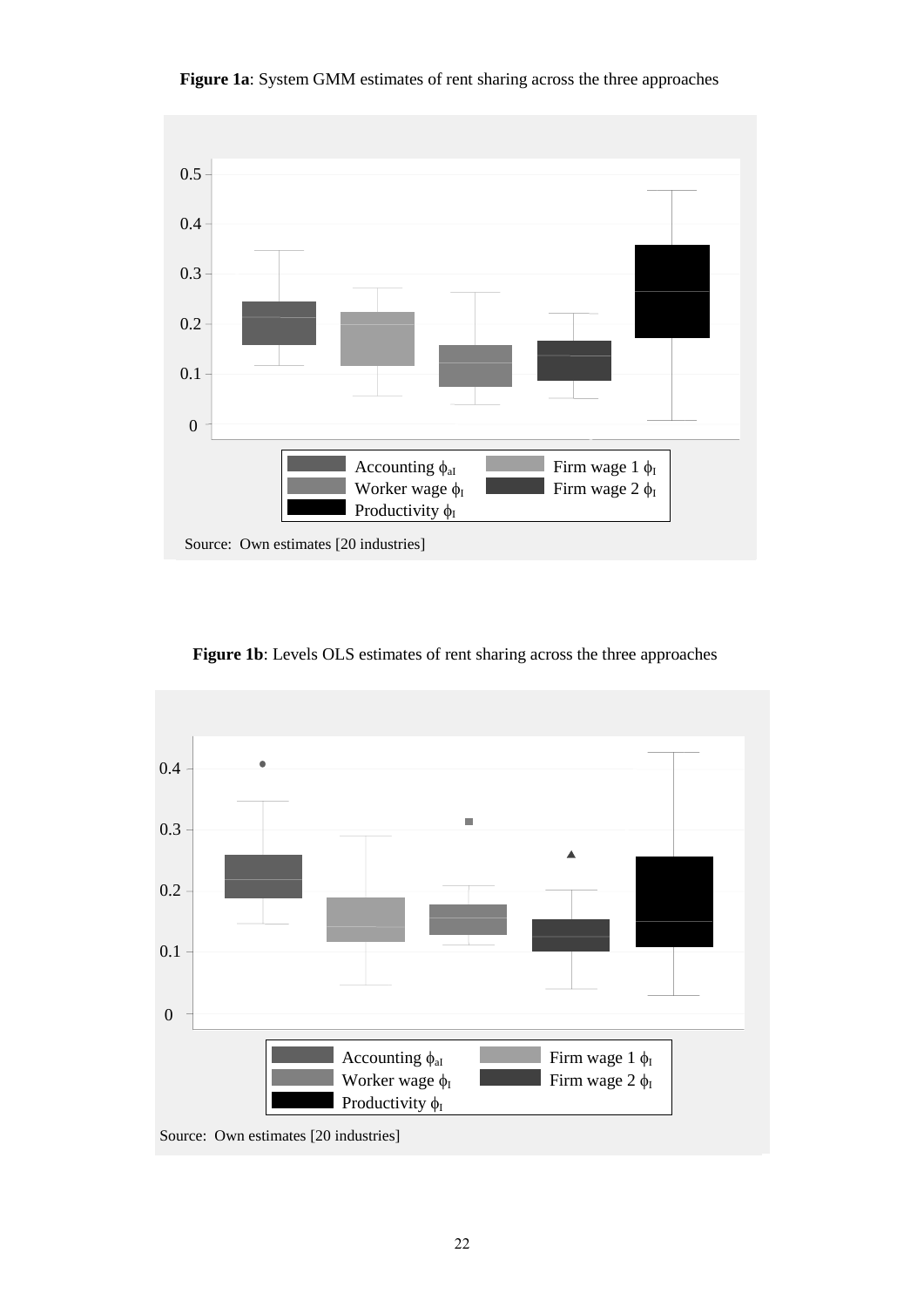

**Figure 1a**: System GMM estimates of rent sharing across the three approaches

**Figure 1b**: Levels OLS estimates of rent sharing across the three approaches